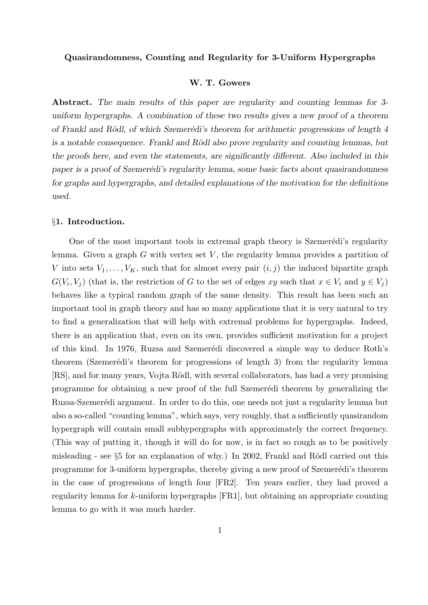## Quasirandomness, Counting and Regularity for 3-Uniform Hypergraphs

### W. T. Gowers

Abstract. The main results of this paper are regularity and counting lemmas for 3uniform hypergraphs. A combination of these two results gives a new proof of a theorem of Frankl and Rödl, of which Szemerédi's theorem for arithmetic progressions of length 4 is a notable consequence. Frankl and Rödl also prove regularity and counting lemmas, but the proofs here, and even the statements, are significantly different. Also included in this paper is a proof of Szemerédi's regularity lemma, some basic facts about quasirandomness for graphs and hypergraphs, and detailed explanations of the motivation for the definitions used.

#### §1. Introduction.

One of the most important tools in extremal graph theory is Szemerédi's regularity lemma. Given a graph  $G$  with vertex set  $V$ , the regularity lemma provides a partition of V into sets  $V_1, \ldots, V_K$ , such that for almost every pair  $(i, j)$  the induced bipartite graph  $G(V_i, V_j)$  (that is, the restriction of G to the set of edges xy such that  $x \in V_i$  and  $y \in V_j$ ) behaves like a typical random graph of the same density. This result has been such an important tool in graph theory and has so many applications that it is very natural to try to find a generalization that will help with extremal problems for hypergraphs. Indeed, there is an application that, even on its own, provides sufficient motivation for a project of this kind. In 1976, Ruzsa and Szemerédi discovered a simple way to deduce Roth's theorem (Szemerédi's theorem for progressions of length 3) from the regularity lemma [RS], and for many years, Vojta Rödl, with several collaborators, has had a very promising programme for obtaining a new proof of the full Szemerédi theorem by generalizing the Ruzsa-Szemerédi argument. In order to do this, one needs not just a regularity lemma but also a so-called "counting lemma", which says, very roughly, that a sufficiently quasirandom hypergraph will contain small subhypergraphs with approximately the correct frequency. (This way of putting it, though it will do for now, is in fact so rough as to be positively misleading - see  $\S5$  for an explanation of why.) In 2002, Frankl and Rödl carried out this programme for 3-uniform hypergraphs, thereby giving a new proof of Szemerédi's theorem in the case of progressions of length four [FR2]. Ten years earlier, they had proved a regularity lemma for k-uniform hypergraphs [FR1], but obtaining an appropriate counting lemma to go with it was much harder.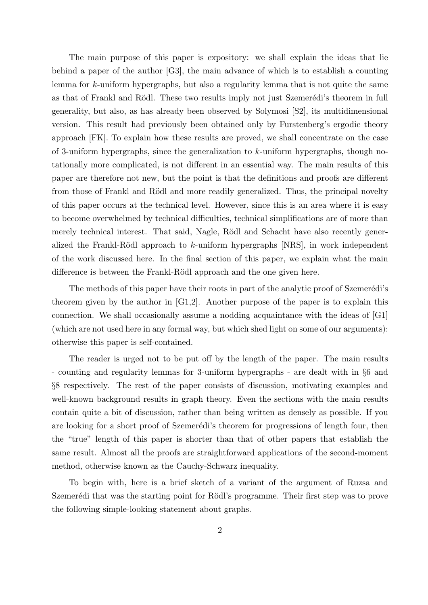The main purpose of this paper is expository: we shall explain the ideas that lie behind a paper of the author [G3], the main advance of which is to establish a counting lemma for k-uniform hypergraphs, but also a regularity lemma that is not quite the same as that of Frankl and Rödl. These two results imply not just Szemerédi's theorem in full generality, but also, as has already been observed by Solymosi [S2], its multidimensional version. This result had previously been obtained only by Furstenberg's ergodic theory approach [FK]. To explain how these results are proved, we shall concentrate on the case of 3-uniform hypergraphs, since the generalization to k-uniform hypergraphs, though notationally more complicated, is not different in an essential way. The main results of this paper are therefore not new, but the point is that the definitions and proofs are different from those of Frankl and Rödl and more readily generalized. Thus, the principal novelty of this paper occurs at the technical level. However, since this is an area where it is easy to become overwhelmed by technical difficulties, technical simplifications are of more than merely technical interest. That said, Nagle, Rödl and Schacht have also recently generalized the Frankl-Rödl approach to  $k$ -uniform hypergraphs [NRS], in work independent of the work discussed here. In the final section of this paper, we explain what the main difference is between the Frankl-Rödl approach and the one given here.

The methods of this paper have their roots in part of the analytic proof of Szemerédi's theorem given by the author in [G1,2]. Another purpose of the paper is to explain this connection. We shall occasionally assume a nodding acquaintance with the ideas of [G1] (which are not used here in any formal way, but which shed light on some of our arguments): otherwise this paper is self-contained.

The reader is urged not to be put off by the length of the paper. The main results - counting and regularity lemmas for 3-uniform hypergraphs - are dealt with in §6 and §8 respectively. The rest of the paper consists of discussion, motivating examples and well-known background results in graph theory. Even the sections with the main results contain quite a bit of discussion, rather than being written as densely as possible. If you are looking for a short proof of Szemerédi's theorem for progressions of length four, then the "true" length of this paper is shorter than that of other papers that establish the same result. Almost all the proofs are straightforward applications of the second-moment method, otherwise known as the Cauchy-Schwarz inequality.

To begin with, here is a brief sketch of a variant of the argument of Ruzsa and Szemerédi that was the starting point for Rödl's programme. Their first step was to prove the following simple-looking statement about graphs.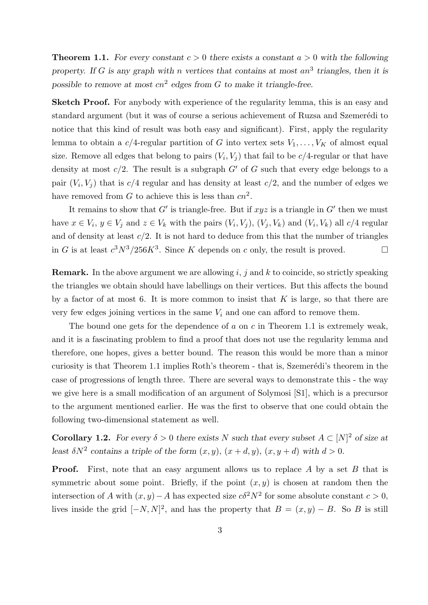**Theorem 1.1.** For every constant  $c > 0$  there exists a constant  $a > 0$  with the following property. If G is any graph with n vertices that contains at most an<sup>3</sup> triangles, then it is possible to remove at most  $cn^2$  edges from G to make it triangle-free.

Sketch Proof. For anybody with experience of the regularity lemma, this is an easy and standard argument (but it was of course a serious achievement of Ruzsa and Szemerédi to notice that this kind of result was both easy and significant). First, apply the regularity lemma to obtain a  $c/4$ -regular partition of G into vertex sets  $V_1, \ldots, V_K$  of almost equal size. Remove all edges that belong to pairs  $(V_i, V_j)$  that fail to be  $c/4$ -regular or that have density at most  $c/2$ . The result is a subgraph  $G'$  of G such that every edge belongs to a pair  $(V_i, V_j)$  that is  $c/4$  regular and has density at least  $c/2$ , and the number of edges we have removed from G to achieve this is less than  $cn^2$ .

It remains to show that  $G'$  is triangle-free. But if  $xyz$  is a triangle in  $G'$  then we must have  $x \in V_i$ ,  $y \in V_j$  and  $z \in V_k$  with the pairs  $(V_i, V_j)$ ,  $(V_j, V_k)$  and  $(V_i, V_k)$  all  $c/4$  regular and of density at least  $c/2$ . It is not hard to deduce from this that the number of triangles in G is at least  $c^3N^3/256K^3$ . Since K depends on c only, the result is proved.

**Remark.** In the above argument we are allowing i, j and k to coincide, so strictly speaking the triangles we obtain should have labellings on their vertices. But this affects the bound by a factor of at most 6. It is more common to insist that  $K$  is large, so that there are very few edges joining vertices in the same  $V_i$  and one can afford to remove them.

The bound one gets for the dependence of  $a$  on  $c$  in Theorem 1.1 is extremely weak, and it is a fascinating problem to find a proof that does not use the regularity lemma and therefore, one hopes, gives a better bound. The reason this would be more than a minor curiosity is that Theorem 1.1 implies Roth's theorem - that is, Szemerédi's theorem in the case of progressions of length three. There are several ways to demonstrate this - the way we give here is a small modification of an argument of Solymosi [S1], which is a precursor to the argument mentioned earlier. He was the first to observe that one could obtain the following two-dimensional statement as well.

**Corollary 1.2.** For every  $\delta > 0$  there exists N such that every subset  $A \subset [N]^2$  of size at least  $\delta N^2$  contains a triple of the form  $(x, y)$ ,  $(x + d, y)$ ,  $(x, y + d)$  with  $d > 0$ .

**Proof.** First, note that an easy argument allows us to replace A by a set B that is symmetric about some point. Briefly, if the point  $(x, y)$  is chosen at random then the intersection of A with  $(x, y) - A$  has expected size  $c\delta^2 N^2$  for some absolute constant  $c > 0$ , lives inside the grid  $[-N, N]^2$ , and has the property that  $B = (x, y) - B$ . So B is still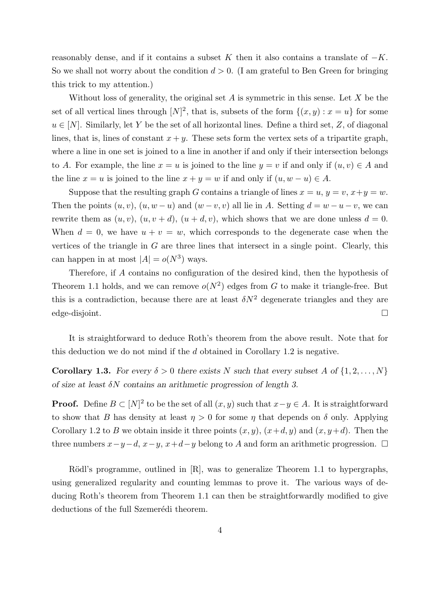reasonably dense, and if it contains a subset K then it also contains a translate of  $-K$ . So we shall not worry about the condition  $d > 0$ . (I am grateful to Ben Green for bringing this trick to my attention.)

Without loss of generality, the original set  $A$  is symmetric in this sense. Let  $X$  be the set of all vertical lines through  $[N]^2$ , that is, subsets of the form  $\{(x,y): x = u\}$  for some  $u \in [N]$ . Similarly, let Y be the set of all horizontal lines. Define a third set, Z, of diagonal lines, that is, lines of constant  $x + y$ . These sets form the vertex sets of a tripartite graph, where a line in one set is joined to a line in another if and only if their intersection belongs to A. For example, the line  $x = u$  is joined to the line  $y = v$  if and only if  $(u, v) \in A$  and the line  $x = u$  is joined to the line  $x + y = w$  if and only if  $(u, w - u) \in A$ .

Suppose that the resulting graph G contains a triangle of lines  $x = u, y = v, x + y = w$ . Then the points  $(u, v)$ ,  $(u, w - u)$  and  $(w - v, v)$  all lie in A. Setting  $d = w - u - v$ , we can rewrite them as  $(u, v)$ ,  $(u, v + d)$ ,  $(u + d, v)$ , which shows that we are done unless  $d = 0$ . When  $d = 0$ , we have  $u + v = w$ , which corresponds to the degenerate case when the vertices of the triangle in  $G$  are three lines that intersect in a single point. Clearly, this can happen in at most  $|A| = o(N^3)$  ways.

Therefore, if A contains no configuration of the desired kind, then the hypothesis of Theorem 1.1 holds, and we can remove  $o(N^2)$  edges from G to make it triangle-free. But this is a contradiction, because there are at least  $\delta N^2$  degenerate triangles and they are edge-disjoint.

It is straightforward to deduce Roth's theorem from the above result. Note that for this deduction we do not mind if the d obtained in Corollary 1.2 is negative.

**Corollary 1.3.** For every  $\delta > 0$  there exists N such that every subset A of  $\{1, 2, ..., N\}$ of size at least  $\delta N$  contains an arithmetic progression of length 3.

**Proof.** Define  $B \subset [N]^2$  to be the set of all  $(x, y)$  such that  $x - y \in A$ . It is straightforward to show that B has density at least  $\eta > 0$  for some  $\eta$  that depends on  $\delta$  only. Applying Corollary 1.2 to B we obtain inside it three points  $(x, y)$ ,  $(x+d, y)$  and  $(x, y+d)$ . Then the three numbers  $x-y-d$ ,  $x-y$ ,  $x+d-y$  belong to A and form an arithmetic progression.  $\Box$ 

Rödl's programme, outlined in  $[R]$ , was to generalize Theorem 1.1 to hypergraphs, using generalized regularity and counting lemmas to prove it. The various ways of deducing Roth's theorem from Theorem 1.1 can then be straightforwardly modified to give deductions of the full Szemerédi theorem.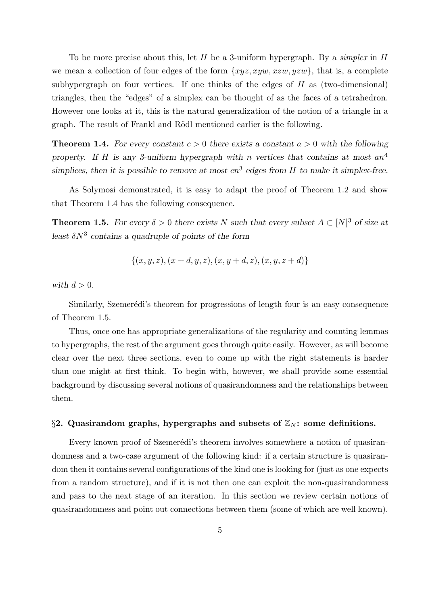To be more precise about this, let H be a 3-uniform hypergraph. By a simplex in H we mean a collection of four edges of the form  $\{xyz, xyw, xzw, yzw\}$ , that is, a complete subhypergraph on four vertices. If one thinks of the edges of  $H$  as (two-dimensional) triangles, then the "edges" of a simplex can be thought of as the faces of a tetrahedron. However one looks at it, this is the natural generalization of the notion of a triangle in a graph. The result of Frankl and Rödl mentioned earlier is the following.

**Theorem 1.4.** For every constant  $c > 0$  there exists a constant  $a > 0$  with the following property. If H is any 3-uniform hypergraph with n vertices that contains at most  $an^4$ simplices, then it is possible to remove at most  $cn^3$  edges from H to make it simplex-free.

As Solymosi demonstrated, it is easy to adapt the proof of Theorem 1.2 and show that Theorem 1.4 has the following consequence.

**Theorem 1.5.** For every  $\delta > 0$  there exists N such that every subset  $A \subset [N]^3$  of size at least  $\delta N^3$  contains a quadruple of points of the form

$$
\{(x, y, z), (x + d, y, z), (x, y + d, z), (x, y, z + d)\}\
$$

with  $d > 0$ .

Similarly, Szemerédi's theorem for progressions of length four is an easy consequence of Theorem 1.5.

Thus, once one has appropriate generalizations of the regularity and counting lemmas to hypergraphs, the rest of the argument goes through quite easily. However, as will become clear over the next three sections, even to come up with the right statements is harder than one might at first think. To begin with, however, we shall provide some essential background by discussing several notions of quasirandomness and the relationships between them.

## §2. Quasirandom graphs, hypergraphs and subsets of  $\mathbb{Z}_N$ : some definitions.

Every known proof of Szemerédi's theorem involves somewhere a notion of quasirandomness and a two-case argument of the following kind: if a certain structure is quasirandom then it contains several configurations of the kind one is looking for (just as one expects from a random structure), and if it is not then one can exploit the non-quasirandomness and pass to the next stage of an iteration. In this section we review certain notions of quasirandomness and point out connections between them (some of which are well known).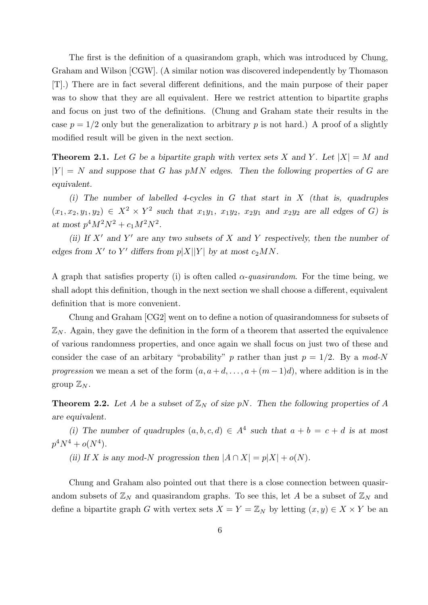The first is the definition of a quasirandom graph, which was introduced by Chung, Graham and Wilson [CGW]. (A similar notion was discovered independently by Thomason [T].) There are in fact several different definitions, and the main purpose of their paper was to show that they are all equivalent. Here we restrict attention to bipartite graphs and focus on just two of the definitions. (Chung and Graham state their results in the case  $p = 1/2$  only but the generalization to arbitrary p is not hard.) A proof of a slightly modified result will be given in the next section.

**Theorem 2.1.** Let G be a bipartite graph with vertex sets X and Y. Let  $|X| = M$  and  $|Y| = N$  and suppose that G has pMN edges. Then the following properties of G are equivalent.

(i) The number of labelled 4-cycles in G that start in X (that is, quadruples  $(x_1, x_2, y_1, y_2) \in X^2 \times Y^2$  such that  $x_1y_1, x_1y_2, x_2y_1$  and  $x_2y_2$  are all edges of G) is at most  $p^4 M^2 N^2 + c_1 M^2 N^2$ .

(ii) If  $X'$  and  $Y'$  are any two subsets of X and Y respectively, then the number of edges from X' to Y' differs from  $p|X||Y|$  by at most  $c_2MN$ .

A graph that satisfies property (i) is often called  $\alpha$ -quasirandom. For the time being, we shall adopt this definition, though in the next section we shall choose a different, equivalent definition that is more convenient.

Chung and Graham [CG2] went on to define a notion of quasirandomness for subsets of  $\mathbb{Z}_N$ . Again, they gave the definition in the form of a theorem that asserted the equivalence of various randomness properties, and once again we shall focus on just two of these and consider the case of an arbitary "probability" p rather than just  $p = 1/2$ . By a mod-N progression we mean a set of the form  $(a, a+d, \ldots, a+(m-1)d)$ , where addition is in the group  $\mathbb{Z}_N$ .

**Theorem 2.2.** Let A be a subset of  $\mathbb{Z}_N$  of size pN. Then the following properties of A are equivalent.

(i) The number of quadruples  $(a, b, c, d) \in A^4$  such that  $a + b = c + d$  is at most  $p^4N^4 + o(N^4)$ .

(ii) If X is any mod-N progression then  $|A \cap X| = p|X| + o(N)$ .

Chung and Graham also pointed out that there is a close connection between quasirandom subsets of  $\mathbb{Z}_N$  and quasirandom graphs. To see this, let A be a subset of  $\mathbb{Z}_N$  and define a bipartite graph G with vertex sets  $X = Y = \mathbb{Z}_N$  by letting  $(x, y) \in X \times Y$  be an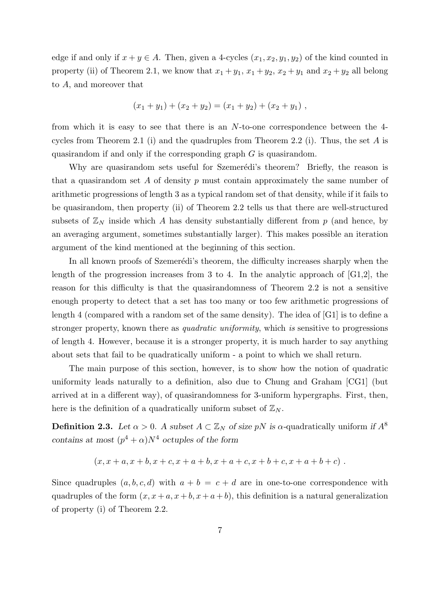edge if and only if  $x + y \in A$ . Then, given a 4-cycles  $(x_1, x_2, y_1, y_2)$  of the kind counted in property (ii) of Theorem 2.1, we know that  $x_1 + y_1$ ,  $x_1 + y_2$ ,  $x_2 + y_1$  and  $x_2 + y_2$  all belong to A, and moreover that

$$
(x_1 + y_1) + (x_2 + y_2) = (x_1 + y_2) + (x_2 + y_1) ,
$$

from which it is easy to see that there is an N-to-one correspondence between the 4 cycles from Theorem 2.1 (i) and the quadruples from Theorem 2.2 (i). Thus, the set A is quasirandom if and only if the corresponding graph G is quasirandom.

Why are quasirandom sets useful for Szemerédi's theorem? Briefly, the reason is that a quasirandom set A of density  $p$  must contain approximately the same number of arithmetic progressions of length 3 as a typical random set of that density, while if it fails to be quasirandom, then property (ii) of Theorem 2.2 tells us that there are well-structured subsets of  $\mathbb{Z}_N$  inside which A has density substantially different from p (and hence, by an averaging argument, sometimes substantially larger). This makes possible an iteration argument of the kind mentioned at the beginning of this section.

In all known proofs of Szemerédi's theorem, the difficulty increases sharply when the length of the progression increases from 3 to 4. In the analytic approach of [G1,2], the reason for this difficulty is that the quasirandomness of Theorem 2.2 is not a sensitive enough property to detect that a set has too many or too few arithmetic progressions of length 4 (compared with a random set of the same density). The idea of [G1] is to define a stronger property, known there as *quadratic uniformity*, which is sensitive to progressions of length 4. However, because it is a stronger property, it is much harder to say anything about sets that fail to be quadratically uniform - a point to which we shall return.

The main purpose of this section, however, is to show how the notion of quadratic uniformity leads naturally to a definition, also due to Chung and Graham [CG1] (but arrived at in a different way), of quasirandomness for 3-uniform hypergraphs. First, then, here is the definition of a quadratically uniform subset of  $\mathbb{Z}_N$ .

**Definition 2.3.** Let  $\alpha > 0$ . A subset  $A \subset \mathbb{Z}_N$  of size pN is  $\alpha$ -quadratically uniform if  $A^8$ contains at most  $(p^4 + \alpha)N^4$  octuples of the form

$$
(x, x + a, x + b, x + c, x + a + b, x + a + c, x + b + c, x + a + b + c).
$$

Since quadruples  $(a, b, c, d)$  with  $a + b = c + d$  are in one-to-one correspondence with quadruples of the form  $(x, x + a, x + b, x + a + b)$ , this definition is a natural generalization of property (i) of Theorem 2.2.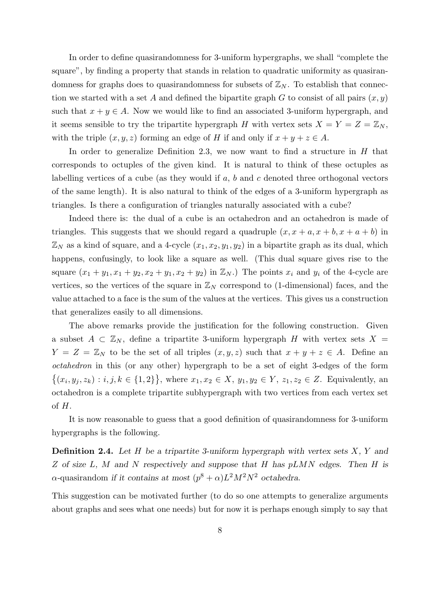In order to define quasirandomness for 3-uniform hypergraphs, we shall "complete the square", by finding a property that stands in relation to quadratic uniformity as quasirandomness for graphs does to quasirandomness for subsets of  $\mathbb{Z}_N$ . To establish that connection we started with a set A and defined the bipartite graph G to consist of all pairs  $(x, y)$ such that  $x + y \in A$ . Now we would like to find an associated 3-uniform hypergraph, and it seems sensible to try the tripartite hypergraph H with vertex sets  $X = Y = Z = \mathbb{Z}_N$ , with the triple  $(x, y, z)$  forming an edge of H if and only if  $x + y + z \in A$ .

In order to generalize Definition 2.3, we now want to find a structure in  $H$  that corresponds to octuples of the given kind. It is natural to think of these octuples as labelling vertices of a cube (as they would if  $a, b$  and c denoted three orthogonal vectors of the same length). It is also natural to think of the edges of a 3-uniform hypergraph as triangles. Is there a configuration of triangles naturally associated with a cube?

Indeed there is: the dual of a cube is an octahedron and an octahedron is made of triangles. This suggests that we should regard a quadruple  $(x, x + a, x + b, x + a + b)$  in  $\mathbb{Z}_N$  as a kind of square, and a 4-cycle  $(x_1, x_2, y_1, y_2)$  in a bipartite graph as its dual, which happens, confusingly, to look like a square as well. (This dual square gives rise to the square  $(x_1 + y_1, x_1 + y_2, x_2 + y_1, x_2 + y_2)$  in  $\mathbb{Z}_N$ .) The points  $x_i$  and  $y_i$  of the 4-cycle are vertices, so the vertices of the square in  $\mathbb{Z}_N$  correspond to (1-dimensional) faces, and the value attached to a face is the sum of the values at the vertices. This gives us a construction that generalizes easily to all dimensions.

The above remarks provide the justification for the following construction. Given a subset  $A \subset \mathbb{Z}_N$ , define a tripartite 3-uniform hypergraph H with vertex sets  $X =$  $Y = Z = \mathbb{Z}_N$  to be the set of all triples  $(x, y, z)$  such that  $x + y + z \in A$ . Define an octahedron in this (or any other) hypergraph to be a set of eight 3-edges of the form  $\{(x_i, y_j, z_k) : i, j, k \in \{1,2\}\},\$  where  $x_1, x_2 \in X, y_1, y_2 \in Y, z_1, z_2 \in Z.$  Equivalently, an octahedron is a complete tripartite subhypergraph with two vertices from each vertex set of H.

It is now reasonable to guess that a good definition of quasirandomness for 3-uniform hypergraphs is the following.

**Definition 2.4.** Let H be a tripartite 3-uniform hypergraph with vertex sets  $X, Y$  and Z of size L, M and N respectively and suppose that H has  $pLMN$  edges. Then H is  $\alpha$ -quasirandom if it contains at most  $(p^8 + \alpha)L^2 M^2 N^2$  octahedra.

This suggestion can be motivated further (to do so one attempts to generalize arguments about graphs and sees what one needs) but for now it is perhaps enough simply to say that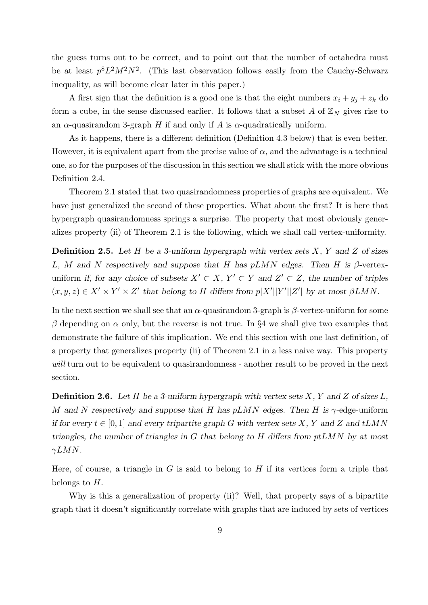the guess turns out to be correct, and to point out that the number of octahedra must be at least  $p^8L^2M^2N^2$ . (This last observation follows easily from the Cauchy-Schwarz inequality, as will become clear later in this paper.)

A first sign that the definition is a good one is that the eight numbers  $x_i + y_j + z_k$  do form a cube, in the sense discussed earlier. It follows that a subset A of  $\mathbb{Z}_N$  gives rise to an  $\alpha$ -quasirandom 3-graph H if and only if A is  $\alpha$ -quadratically uniform.

As it happens, there is a different definition (Definition 4.3 below) that is even better. However, it is equivalent apart from the precise value of  $\alpha$ , and the advantage is a technical one, so for the purposes of the discussion in this section we shall stick with the more obvious Definition 2.4.

Theorem 2.1 stated that two quasirandomness properties of graphs are equivalent. We have just generalized the second of these properties. What about the first? It is here that hypergraph quasirandomness springs a surprise. The property that most obviously generalizes property (ii) of Theorem 2.1 is the following, which we shall call vertex-uniformity.

**Definition 2.5.** Let H be a 3-uniform hypergraph with vertex sets  $X$ ,  $Y$  and  $Z$  of sizes L, M and N respectively and suppose that H has  $pLMN$  edges. Then H is  $\beta$ -vertexuniform if, for any choice of subsets  $X' \subset X$ ,  $Y' \subset Y$  and  $Z' \subset Z$ , the number of triples  $(x, y, z) \in X' \times Y' \times Z'$  that belong to H differs from  $p|X'||Y'||Z'|$  by at most  $\beta LMN$ .

In the next section we shall see that an  $\alpha$ -quasirandom 3-graph is  $\beta$ -vertex-uniform for some β depending on  $\alpha$  only, but the reverse is not true. In §4 we shall give two examples that demonstrate the failure of this implication. We end this section with one last definition, of a property that generalizes property (ii) of Theorem 2.1 in a less naive way. This property will turn out to be equivalent to quasirandomness - another result to be proved in the next section.

**Definition 2.6.** Let H be a 3-uniform hypergraph with vertex sets  $X, Y$  and  $Z$  of sizes  $L$ , M and N respectively and suppose that H has  $pLMN$  edges. Then H is  $\gamma$ -edge-uniform if for every  $t \in [0,1]$  and every tripartite graph G with vertex sets X, Y and Z and tLMN triangles, the number of triangles in G that belong to H differs from  $ptLMN$  by at most  $\gamma LMN$ .

Here, of course, a triangle in G is said to belong to H if its vertices form a triple that belongs to  $H$ .

Why is this a generalization of property (ii)? Well, that property says of a bipartite graph that it doesn't significantly correlate with graphs that are induced by sets of vertices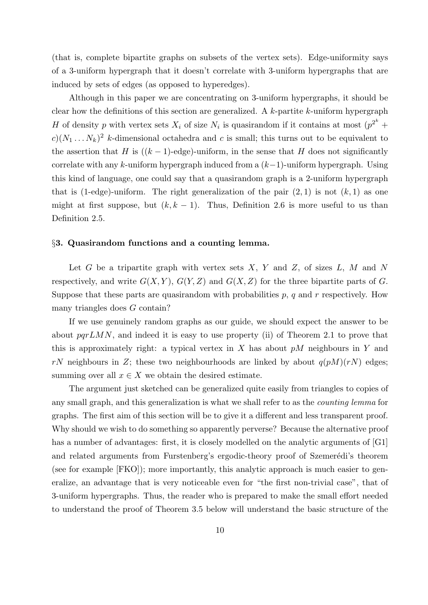(that is, complete bipartite graphs on subsets of the vertex sets). Edge-uniformity says of a 3-uniform hypergraph that it doesn't correlate with 3-uniform hypergraphs that are induced by sets of edges (as opposed to hyperedges).

Although in this paper we are concentrating on 3-uniform hypergraphs, it should be clear how the definitions of this section are generalized. A  $k$ -partite  $k$ -uniform hypergraph H of density p with vertex sets  $X_i$  of size  $N_i$  is quasirandom if it contains at most  $(p^{2^k} +$  $c(x_1 \ldots x_k)^2$  k-dimensional octahedra and c is small; this turns out to be equivalent to the assertion that H is  $((k-1)$ -edge)-uniform, in the sense that H does not significantly correlate with any k-uniform hypergraph induced from a  $(k-1)$ -uniform hypergraph. Using this kind of language, one could say that a quasirandom graph is a 2-uniform hypergraph that is (1-edge)-uniform. The right generalization of the pair  $(2,1)$  is not  $(k,1)$  as one might at first suppose, but  $(k, k - 1)$ . Thus, Definition 2.6 is more useful to us than Definition 2.5.

#### §3. Quasirandom functions and a counting lemma.

Let  $G$  be a tripartite graph with vertex sets  $X, Y$  and  $Z$ , of sizes  $L, M$  and  $N$ respectively, and write  $G(X, Y)$ ,  $G(Y, Z)$  and  $G(X, Z)$  for the three bipartite parts of G. Suppose that these parts are quasirandom with probabilities  $p$ ,  $q$  and  $r$  respectively. How many triangles does G contain?

If we use genuinely random graphs as our guide, we should expect the answer to be about  $pqrLMN$ , and indeed it is easy to use property (ii) of Theorem 2.1 to prove that this is approximately right: a typical vertex in X has about  $pM$  neighbours in Y and rN neighbours in Z; these two neighbourhoods are linked by about  $q(pM)(rN)$  edges; summing over all  $x \in X$  we obtain the desired estimate.

The argument just sketched can be generalized quite easily from triangles to copies of any small graph, and this generalization is what we shall refer to as the counting lemma for graphs. The first aim of this section will be to give it a different and less transparent proof. Why should we wish to do something so apparently perverse? Because the alternative proof has a number of advantages: first, it is closely modelled on the analytic arguments of [G1] and related arguments from Furstenberg's ergodic-theory proof of Szemerédi's theorem (see for example [FKO]); more importantly, this analytic approach is much easier to generalize, an advantage that is very noticeable even for "the first non-trivial case", that of 3-uniform hypergraphs. Thus, the reader who is prepared to make the small effort needed to understand the proof of Theorem 3.5 below will understand the basic structure of the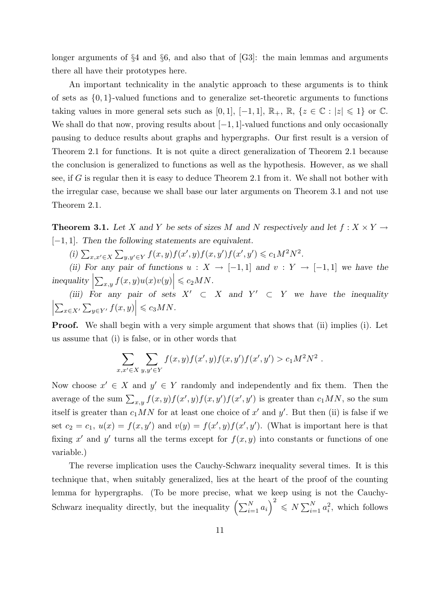longer arguments of  $\S 4$  and  $\S 6$ , and also that of [G3]: the main lemmas and arguments there all have their prototypes here.

An important technicality in the analytic approach to these arguments is to think of sets as  $\{0, 1\}$ -valued functions and to generalize set-theoretic arguments to functions taking values in more general sets such as [0, 1],  $[-1, 1]$ ,  $\mathbb{R}_+$ ,  $\mathbb{R}$ ,  $\{z \in \mathbb{C} : |z| \leq 1\}$  or  $\mathbb{C}$ . We shall do that now, proving results about  $[-1, 1]$ -valued functions and only occasionally pausing to deduce results about graphs and hypergraphs. Our first result is a version of Theorem 2.1 for functions. It is not quite a direct generalization of Theorem 2.1 because the conclusion is generalized to functions as well as the hypothesis. However, as we shall see, if G is regular then it is easy to deduce Theorem 2.1 from it. We shall not bother with the irregular case, because we shall base our later arguments on Theorem 3.1 and not use Theorem 2.1.

**Theorem 3.1.** Let X and Y be sets of sizes M and N respectively and let  $f: X \times Y \rightarrow$ [−1, 1]. Then the following statements are equivalent.

(i)  $\sum_{x,x'\in X}\sum_{y,y'\in Y}f(x,y)f(x',y)f(x,y')f(x',y') \leq c_1M^2N^2$ .

(ii) For any pair of functions  $u : X \to [-1,1]$  and  $v : Y \to [-1,1]$  we have the  $inequality$  $\left|\sum_{x,y} f(x,y)u(x)v(y)\right| \leqslant c_2MN.$ 

(iii) For any pair of sets  $X' \subset X$  and  $Y' \subset Y$  we have the inequality  $\begin{array}{c} \begin{array}{c} \begin{array}{c} \end{array}\\ \begin{array}{c} \end{array} \end{array} \end{array}$  $\sum_{x \in X'} \sum_{y \in Y'} f(x, y) \leq c_3 MN.$ 

Proof. We shall begin with a very simple argument that shows that (ii) implies (i). Let us assume that (i) is false, or in other words that

$$
\sum_{x,x'\in X} \sum_{y,y'\in Y} f(x,y)f(x',y)f(x,y')f(x',y') > c_1M^2N^2.
$$

Now choose  $x' \in X$  and  $y' \in Y$  randomly and independently and fix them. Then the average of the sum  $\sum_{x,y} f(x,y)f(x',y)f(x',y')$  is greater than  $c_1MN$ , so the sum itself is greater than  $c_1MN$  for at least one choice of x' and y'. But then (ii) is false if we set  $c_2 = c_1$ ,  $u(x) = f(x, y')$  and  $v(y) = f(x', y)f(x', y')$ . (What is important here is that fixing x' and y' turns all the terms except for  $f(x, y)$  into constants or functions of one variable.)

The reverse implication uses the Cauchy-Schwarz inequality several times. It is this technique that, when suitably generalized, lies at the heart of the proof of the counting lemma for hypergraphs. (To be more precise, what we keep using is not the Cauchy-Schwarz inequality directly, but the inequality  $\left(\sum_{i=1}^N a_i\right)^2 \leq N \sum_{i=1}^N a_i^2$ , which follows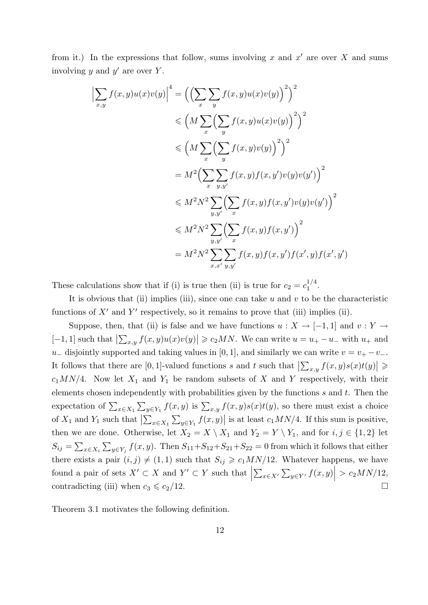from it.) In the expressions that follow, sums involving x and  $x'$  are over X and sums involving  $y$  and  $y'$  are over  $Y$ .

$$
\left| \sum_{x,y} f(x,y)u(x)v(y) \right|^4 = \left( \left( \sum_x \sum_y f(x,y)u(x)v(y) \right)^2 \right)^2
$$
  
\n
$$
\leq \left( M \sum_x \left( \sum_y f(x,y)u(x)v(y) \right)^2 \right)^2
$$
  
\n
$$
\leq \left( M \sum_x \left( \sum_y f(x,y)v(y) \right)^2 \right)^2
$$
  
\n
$$
= M^2 \left( \sum_x \sum_{y,y'} f(x,y)f(x,y')v(y)v(y') \right)^2
$$
  
\n
$$
\leq M^2 N^2 \sum_{y,y'} \left( \sum_x f(x,y)f(x,y')v(y)v(y') \right)^2
$$
  
\n
$$
\leq M^2 N^2 \sum_{y,y'} \left( \sum_x f(x,y)f(x,y') \right)^2
$$
  
\n
$$
= M^2 N^2 \sum_{x,x'} \sum_{y,y'} f(x,y)f(x,y')f(x',y)f(x',y')
$$

These calculations show that if (i) is true then (ii) is true for  $c_2 = c_1^{1/4}$  $\frac{1}{1}$ .

It is obvious that (ii) implies (iii), since one can take  $u$  and  $v$  to be the characteristic functions of  $X'$  and  $Y'$  respectively, so it remains to prove that (iii) implies (ii).

Suppose, then, that (ii) is false and we have functions  $u : X \to [-1,1]$  and  $v : Y \to$ [-1, 1] such that  $\left|\sum_{x,y} f(x,y)u(x)v(y)\right| \geqslant c_2MN$ . We can write  $u = u_+ - u_-$  with  $u_+$  and u<sub>−</sub> disjointly supported and taking values in [0, 1], and similarly we can write  $v = v_+ - v_-$ . It follows that there are  $[0,1]$ -valued functions s and t such that  $\left|\sum_{x,y} f(x,y)s(x)t(y)\right| \geq$  $c_1MN/4$ . Now let  $X_1$  and  $Y_1$  be random subsets of X and Y respectively, with their elements chosen independently with probabilities given by the functions  $s$  and  $t$ . Then the expectation of  $\sum_{x\in X_1}\sum_{y\in Y_1}f(x,y)$  is  $\sum_{x,y}f(x,y)s(x)t(y)$ , so there must exist a choice of  $X_1$  and  $Y_1$  such that  $\left|\sum_{x\in X_1}\sum_{y\in Y_1}f(x,y)\right|$  is at least  $c_1MN/4$ . If this sum is positive, then we are done. Otherwise, let  $X_2 = X \setminus X_1$  and  $Y_2 = Y \setminus Y_1$ , and for  $i, j \in \{1, 2\}$  let  $S_{ij} = \sum_{x \in X_i} \sum_{y \in Y_j} f(x, y)$ . Then  $S_{11} + S_{12} + S_{21} + S_{22} = 0$  from which it follows that either there exists a pair  $(i, j) \neq (1, 1)$  such that  $S_{ij} \geq c_1 M N/12$ . Whatever happens, we have found a pair of sets  $X' \subset X$  and  $Y' \subset Y$  such that  $\sum_{x \in X'} \sum_{y \in Y'} f(x, y)$  >  $c_2MN/12$ , contradicting (iii) when  $c_3 \leqslant c_2/12$ .

Theorem 3.1 motivates the following definition.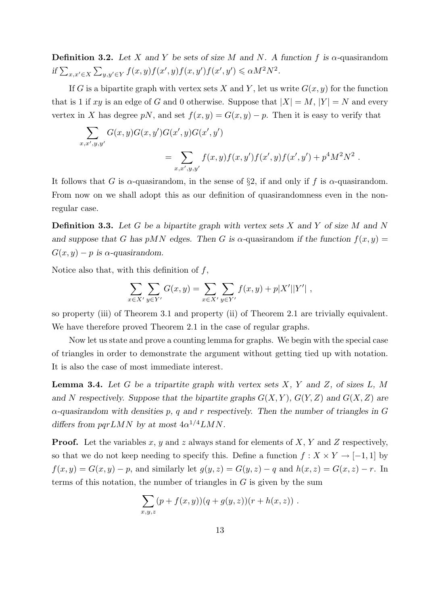**Definition 3.2.** Let X and Y be sets of size M and N. A function f is  $\alpha$ -quasirandom if  $\sum_{x,x'\in X}\sum_{y,y'\in Y}f(x,y)f(x',y)f(x,y')f(x',y')\leq \alpha M^2N^2$ .

If G is a bipartite graph with vertex sets X and Y, let us write  $G(x, y)$  for the function that is 1 if xy is an edge of G and 0 otherwise. Suppose that  $|X| = M$ ,  $|Y| = N$  and every vertex in X has degree pN, and set  $f(x, y) = G(x, y) - p$ . Then it is easy to verify that

$$
\sum_{x,x',y,y'} G(x,y)G(x,y')G(x',y)G(x',y')
$$
  
= 
$$
\sum_{x,x',y,y'} f(x,y)f(x,y')f(x',y)f(x',y') + p^4M^2N^2.
$$

It follows that G is  $\alpha$ -quasirandom, in the sense of §2, if and only if f is  $\alpha$ -quasirandom. From now on we shall adopt this as our definition of quasirandomness even in the nonregular case.

**Definition 3.3.** Let G be a bipartite graph with vertex sets X and Y of size M and N and suppose that G has pMN edges. Then G is  $\alpha$ -quasirandom if the function  $f(x, y) =$  $G(x, y) - p$  is  $\alpha$ -quasirandom.

Notice also that, with this definition of  $f$ ,

$$
\sum_{x \in X'} \sum_{y \in Y'} G(x, y) = \sum_{x \in X'} \sum_{y \in Y'} f(x, y) + p|X'||Y'|,
$$

so property (iii) of Theorem 3.1 and property (ii) of Theorem 2.1 are trivially equivalent. We have therefore proved Theorem 2.1 in the case of regular graphs.

Now let us state and prove a counting lemma for graphs. We begin with the special case of triangles in order to demonstrate the argument without getting tied up with notation. It is also the case of most immediate interest.

**Lemma 3.4.** Let G be a tripartite graph with vertex sets  $X$ ,  $Y$  and  $Z$ , of sizes  $L$ ,  $M$ and N respectively. Suppose that the bipartite graphs  $G(X, Y)$ ,  $G(Y, Z)$  and  $G(X, Z)$  are  $\alpha$ -quasirandom with densities p, q and r respectively. Then the number of triangles in G differs from  $pqrLMN$  by at most  $4\alpha^{1/4}LMN$ .

**Proof.** Let the variables x, y and z always stand for elements of X, Y and Z respectively, so that we do not keep needing to specify this. Define a function  $f: X \times Y \to [-1,1]$  by  $f(x,y) = G(x,y) - p$ , and similarly let  $g(y, z) = G(y, z) - q$  and  $h(x, z) = G(x, z) - r$ . In terms of this notation, the number of triangles in  $G$  is given by the sum

$$
\sum_{x,y,z} (p+f(x,y))(q+g(y,z))(r+h(x,z)) \ .
$$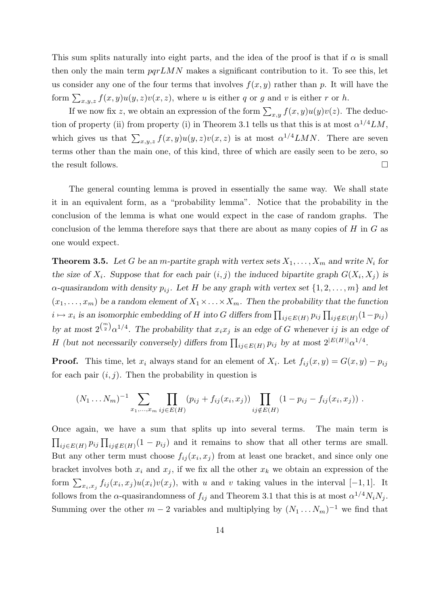This sum splits naturally into eight parts, and the idea of the proof is that if  $\alpha$  is small then only the main term  $pqrLMN$  makes a significant contribution to it. To see this, let us consider any one of the four terms that involves  $f(x, y)$  rather than p. It will have the form  $\sum_{x,y,z} f(x,y)u(y,z)v(x,z)$ , where u is either q or g and v is either r or h.

If we now fix z, we obtain an expression of the form  $\sum_{x,y} f(x,y)u(y)v(z)$ . The deduction of property (ii) from property (i) in Theorem 3.1 tells us that this is at most  $\alpha^{1/4} LM$ , which gives us that  $\sum_{x,y,z} f(x,y)u(y,z)v(x,z)$  is at most  $\alpha^{1/4}LMN$ . There are seven terms other than the main one, of this kind, three of which are easily seen to be zero, so the result follows.

The general counting lemma is proved in essentially the same way. We shall state it in an equivalent form, as a "probability lemma". Notice that the probability in the conclusion of the lemma is what one would expect in the case of random graphs. The conclusion of the lemma therefore says that there are about as many copies of  $H$  in  $G$  as one would expect.

**Theorem 3.5.** Let G be an *m*-partite graph with vertex sets  $X_1, \ldots, X_m$  and write  $N_i$  for the size of  $X_i$ . Suppose that for each pair  $(i, j)$  the induced bipartite graph  $G(X_i, X_j)$  is  $\alpha$ -quasirandom with density  $p_{ij}$ . Let H be any graph with vertex set  $\{1, 2, \ldots, m\}$  and let  $(x_1, \ldots, x_m)$  be a random element of  $X_1 \times \ldots \times X_m$ . Then the probability that the function  $i \mapsto x_i$  is an isomorphic embedding of H into G differs from  $\prod_{ij \in E(H)} p_{ij} \prod_{ij \notin E(H)} (1-p_{ij})$ by at most  $2^{\binom{m}{2}} \alpha^{1/4}$ . The probability that  $x_i x_j$  is an edge of G whenever ij is an edge of H (but not necessarily conversely) differs from  $\prod_{ij \in E(H)} p_{ij}$  by at most  $2^{|E(H)|} \alpha^{1/4}$ .

**Proof.** This time, let  $x_i$  always stand for an element of  $X_i$ . Let  $f_{ij}(x, y) = G(x, y) - p_{ij}$ for each pair  $(i, j)$ . Then the probability in question is

$$
(N_1 \dots N_m)^{-1} \sum_{x_1, \dots, x_m} \prod_{ij \in E(H)} (p_{ij} + f_{ij}(x_i, x_j)) \prod_{ij \notin E(H)} (1 - p_{ij} - f_{ij}(x_i, x_j)) .
$$

Once again, we have a sum that splits up into several terms. The main term is  $\prod_{ij\in E(H)} p_{ij} \prod_{ij \notin E(H)} (1-p_{ij})$  and it remains to show that all other terms are small. But any other term must choose  $f_{ij}(x_i, x_j)$  from at least one bracket, and since only one bracket involves both  $x_i$  and  $x_j$ , if we fix all the other  $x_k$  we obtain an expression of the form  $\sum_{x_i, x_j} f_{ij}(x_i, x_j)u(x_i)v(x_j)$ , with u and v taking values in the interval [−1, 1]. It follows from the  $\alpha$ -quasirandomness of  $f_{ij}$  and Theorem 3.1 that this is at most  $\alpha^{1/4} N_i N_j$ . Summing over the other  $m-2$  variables and multiplying by  $(N_1 \ldots N_m)^{-1}$  we find that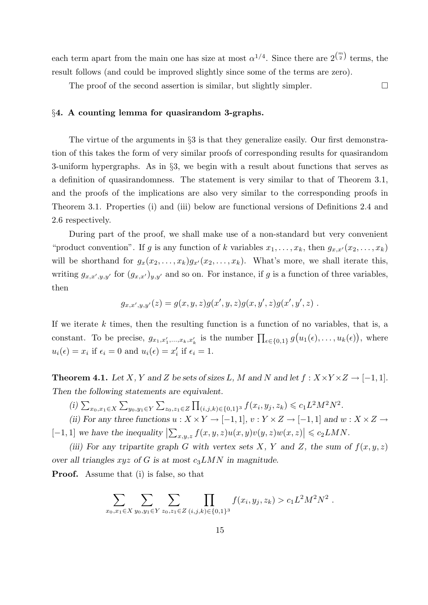each term apart from the main one has size at most  $\alpha^{1/4}$ . Since there are  $2^{m \choose 2}$  terms, the result follows (and could be improved slightly since some of the terms are zero).

The proof of the second assertion is similar, but slightly simpler.  $\Box$ 

## §4. A counting lemma for quasirandom 3-graphs.

The virtue of the arguments in §3 is that they generalize easily. Our first demonstration of this takes the form of very similar proofs of corresponding results for quasirandom 3-uniform hypergraphs. As in §3, we begin with a result about functions that serves as a definition of quasirandomness. The statement is very similar to that of Theorem 3.1, and the proofs of the implications are also very similar to the corresponding proofs in Theorem 3.1. Properties (i) and (iii) below are functional versions of Definitions 2.4 and 2.6 respectively.

During part of the proof, we shall make use of a non-standard but very convenient "product convention". If g is any function of k variables  $x_1, \ldots, x_k$ , then  $g_{x,x'}(x_2, \ldots, x_k)$ will be shorthand for  $g_x(x_2, \ldots, x_k)g_{x'}(x_2, \ldots, x_k)$ . What's more, we shall iterate this, writing  $g_{x,x',y,y'}$  for  $(g_{x,x'})_{y,y'}$  and so on. For instance, if g is a function of three variables, then

$$
g_{x,x',y,y'}(z) = g(x,y,z)g(x',y,z)g(x,y',z)g(x',y',z) .
$$

If we iterate k times, then the resulting function is a function of no variables, that is, a constant. To be precise,  $g_{x_1,x'_1,\dots,x_k,x'_k}$  is the number  $\prod_{\epsilon \in \{0,1\}} g(u_1(\epsilon),\dots,u_k(\epsilon)),$  where  $u_i(\epsilon) = x_i$  if  $\epsilon_i = 0$  and  $u_i(\epsilon) = x'_i$  if  $\epsilon_i = 1$ .

**Theorem 4.1.** Let X, Y and Z be sets of sizes L, M and N and let  $f: X \times Y \times Z \rightarrow [-1,1]$ . Then the following statements are equivalent.

(i)  $\sum_{x_0, x_1 \in X} \sum_{y_0, y_1 \in Y} \sum_{z_0, z_1 \in Z} \prod_{(i,j,k) \in \{0,1\}^3} f(x_i, y_j, z_k) \leqslant c_1 L^2 M^2 N^2.$ 

(ii) For any three functions  $u : X \times Y \to [-1,1], v : Y \times Z \to [-1,1]$  and  $w : X \times Z \to$ [-1, 1] we have the inequality  $\left|\sum_{x,y,z} f(x,y,z)u(x,y)v(y,z)w(x,z)\right| \leq c_2LMN$ .

(iii) For any tripartite graph G with vertex sets X, Y and Z, the sum of  $f(x, y, z)$ over all triangles  $xyz$  of G is at most  $c_3LMN$  in magnitude.

Proof. Assume that (i) is false, so that

$$
\sum_{x_0, x_1 \in X} \sum_{y_0, y_1 \in Y} \sum_{z_0, z_1 \in Z} \prod_{(i,j,k) \in \{0,1\}^3} f(x_i, y_j, z_k) > c_1 L^2 M^2 N^2.
$$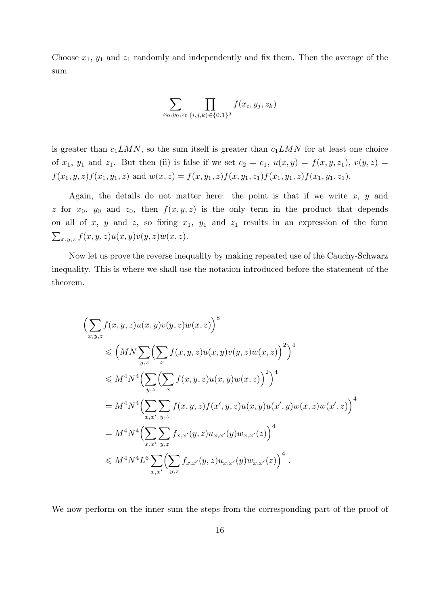Choose  $x_1, y_1$  and  $z_1$  randomly and independently and fix them. Then the average of the sum

$$
\sum_{x_0, y_0, z_0} \prod_{(i,j,k) \in \{0,1\}^3} f(x_i, y_j, z_k)
$$

is greater than  $c_1LMN$ , so the sum itself is greater than  $c_1LMN$  for at least one choice of  $x_1$ ,  $y_1$  and  $z_1$ . But then (ii) is false if we set  $c_2 = c_1$ ,  $u(x, y) = f(x, y, z_1)$ ,  $v(y, z) =$  $f(x_1, y, z)f(x_1, y_1, z)$  and  $w(x, z) = f(x, y_1, z)f(x, y_1, z_1)f(x_1, y_1, z)f(x_1, y_1, z_1).$ 

Again, the details do not matter here: the point is that if we write  $x, y$  and z for  $x_0$ ,  $y_0$  and  $z_0$ , then  $f(x, y, z)$  is the only term in the product that depends on all of x, y and z, so fixing  $x_1$ ,  $y_1$  and  $z_1$  results in an expression of the form  $\sum_{x,y,z} f(x,y,z) u(x,y) v(y,z) w(x,z).$ 

Now let us prove the reverse inequality by making repeated use of the Cauchy-Schwarz inequality. This is where we shall use the notation introduced before the statement of the theorem.

$$
\left(\sum_{x,y,z} f(x,y,z)u(x,y)v(y,z)w(x,z)\right)^{8}
$$
  
\n
$$
\leq \left(MN\sum_{y,z}\left(\sum_{x} f(x,y,z)u(x,y)v(y,z)w(x,z)\right)^{2}\right)^{4}
$$
  
\n
$$
\leq M^{4}N^{4}\left(\sum_{y,z}\left(\sum_{x} f(x,y,z)u(x,y)w(x,z)\right)^{2}\right)^{4}
$$
  
\n
$$
= M^{4}N^{4}\left(\sum_{x,x'}\sum_{y,z} f(x,y,z)f(x',y,z)u(x,y)u(x',y)w(x,z)w(x',z)\right)^{4}
$$
  
\n
$$
= M^{4}N^{4}\left(\sum_{x,x'}\sum_{y,z} f_{x,x'}(y,z)u_{x,x'}(y)w_{x,x'}(z)\right)^{4}
$$
  
\n
$$
\leq M^{4}N^{4}L^{6}\sum_{x,x'}\left(\sum_{y,z} f_{x,x'}(y,z)u_{x,x'}(y)w_{x,x'}(z)\right)^{4}.
$$

We now perform on the inner sum the steps from the corresponding part of the proof of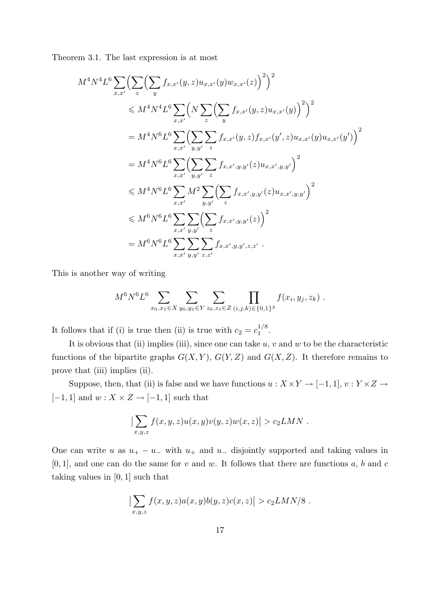Theorem 3.1. The last expression is at most

$$
M^{4}N^{4}L^{6}\sum_{x,x'}\left(\sum_{z}\left(\sum_{y}f_{x,x'}(y,z)u_{x,x'}(y)w_{x,x'}(z)\right)^{2}\right)^{2}
$$
  
\n
$$
\leq M^{4}N^{4}L^{6}\sum_{x,x'}\left(N\sum_{z}\left(\sum_{y}f_{x,x'}(y,z)u_{x,x'}(y)\right)^{2}\right)^{2}
$$
  
\n
$$
=M^{4}N^{6}L^{6}\sum_{x,x'}\left(\sum_{y,y'}\sum_{z}f_{x,x'}(y,z)f_{x,x'}(y',z)u_{x,x'}(y)u_{x,x'}(y')\right)^{2}
$$
  
\n
$$
=M^{4}N^{6}L^{6}\sum_{x,x'}\left(\sum_{y,y'}\sum_{z}f_{x,x',y,y'}(z)u_{x,x',y,y'}\right)^{2}
$$
  
\n
$$
\leq M^{4}N^{6}L^{6}\sum_{x,x'}M^{2}\sum_{y,y'}\left(\sum_{z}f_{x,x',y,y'}(z)u_{x,x',y,y'}\right)^{2}
$$
  
\n
$$
\leq M^{6}N^{6}L^{6}\sum_{x,x'}\sum_{y,y'}\left(\sum_{z}f_{x,x',y,y'}(z)\right)^{2}
$$
  
\n
$$
=M^{6}N^{6}L^{6}\sum_{x,x'}\sum_{y,y'}\sum_{z,z'}f_{x,x',y,y',z,z'}.
$$

This is another way of writing

$$
M^{6}N^{6}L^{6}\sum_{x_0,x_1\in X}\sum_{y_0,y_1\in Y}\sum_{z_0,z_1\in Z}\prod_{(i,j,k)\in\{0,1\}^3}f(x_i,y_j,z_k).
$$

It follows that if (i) is true then (ii) is true with  $c_2 = c_1^{1/8}$  $\frac{1}{1}$ .

It is obvious that (ii) implies (iii), since one can take  $u, v$  and  $w$  to be the characteristic functions of the bipartite graphs  $G(X, Y)$ ,  $G(Y, Z)$  and  $G(X, Z)$ . It therefore remains to prove that (iii) implies (ii).

Suppose, then, that (ii) is false and we have functions  $u: X \times Y \to [-1,1], v: Y \times Z \to$  $[-1,1]$  and  $w: X \times Z \rightarrow [-1,1]$  such that

$$
\left|\sum_{x,y,z} f(x,y,z)u(x,y)v(y,z)w(x,z)\right| > c_2LMN.
$$

One can write u as  $u_{+} - u_{-}$  with  $u_{+}$  and  $u_{-}$  disjointly supported and taking values in  $[0, 1]$ , and one can do the same for v and w. It follows that there are functions a, b and c taking values in [0, 1] such that

$$
\left|\sum_{x,y,z} f(x,y,z)a(x,y)b(y,z)c(x,z)\right| > c_2LMN/8.
$$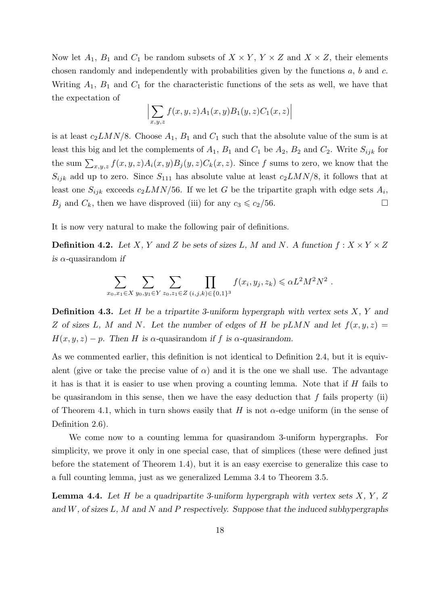Now let  $A_1$ ,  $B_1$  and  $C_1$  be random subsets of  $X \times Y$ ,  $Y \times Z$  and  $X \times Z$ , their elements chosen randomly and independently with probabilities given by the functions  $a, b$  and  $c$ . Writing  $A_1$ ,  $B_1$  and  $C_1$  for the characteristic functions of the sets as well, we have that the expectation of

$$
\left|\sum_{x,y,z} f(x,y,z)A_1(x,y)B_1(y,z)C_1(x,z)\right|
$$

is at least  $c_2LMN/8$ . Choose  $A_1$ ,  $B_1$  and  $C_1$  such that the absolute value of the sum is at least this big and let the complements of  $A_1$ ,  $B_1$  and  $C_1$  be  $A_2$ ,  $B_2$  and  $C_2$ . Write  $S_{ijk}$  for the sum  $\sum_{x,y,z} f(x,y,z)A_i(x,y)B_j(y,z)C_k(x,z)$ . Since f sums to zero, we know that the  $S_{ijk}$  add up to zero. Since  $S_{111}$  has absolute value at least  $c_2LMN/8$ , it follows that at least one  $S_{ijk}$  exceeds  $c_2LMN/56$ . If we let G be the tripartite graph with edge sets  $A_i$ ,  $B_j$  and  $C_k$ , then we have disproved (iii) for any  $c_3 \leqslant c_2/56$ .

It is now very natural to make the following pair of definitions.

**Definition 4.2.** Let X, Y and Z be sets of sizes L, M and N. A function  $f: X \times Y \times Z$ is  $\alpha$ -quasirandom if

$$
\sum_{x_0,x_1 \in X} \sum_{y_0,y_1 \in Y} \sum_{z_0,z_1 \in Z} \prod_{(i,j,k) \in \{0,1\}^3} f(x_i,y_j,z_k) \leq \alpha L^2 M^2 N^2.
$$

**Definition 4.3.** Let H be a tripartite 3-uniform hypergraph with vertex sets  $X, Y$  and Z of sizes L, M and N. Let the number of edges of H be pLMN and let  $f(x, y, z) =$  $H(x, y, z) - p$ . Then H is  $\alpha$ -quasirandom if f is  $\alpha$ -quasirandom.

As we commented earlier, this definition is not identical to Definition 2.4, but it is equivalent (give or take the precise value of  $\alpha$ ) and it is the one we shall use. The advantage it has is that it is easier to use when proving a counting lemma. Note that if  $H$  fails to be quasirandom in this sense, then we have the easy deduction that  $f$  fails property (ii) of Theorem 4.1, which in turn shows easily that H is not  $\alpha$ -edge uniform (in the sense of Definition 2.6).

We come now to a counting lemma for quasirandom 3-uniform hypergraphs. For simplicity, we prove it only in one special case, that of simplices (these were defined just before the statement of Theorem 1.4), but it is an easy exercise to generalize this case to a full counting lemma, just as we generalized Lemma 3.4 to Theorem 3.5.

**Lemma 4.4.** Let H be a quadripartite 3-uniform hypergraph with vertex sets  $X, Y, Z$ and  $W$ , of sizes  $L$ ,  $M$  and  $N$  and  $P$  respectively. Suppose that the induced subhypergraphs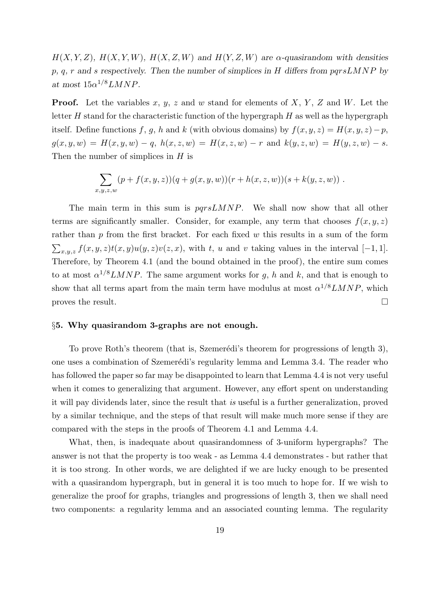$H(X, Y, Z)$ ,  $H(X, Y, W)$ ,  $H(X, Z, W)$  and  $H(Y, Z, W)$  are  $\alpha$ -quasirandom with densities  $p, q, r$  and s respectively. Then the number of simplices in H differs from  $pqrsLMNP$  by at most  $15\alpha^{1/8}LMNP$ .

**Proof.** Let the variables x, y, z and w stand for elements of X, Y, Z and W. Let the letter  $H$  stand for the characteristic function of the hypergraph  $H$  as well as the hypergraph itself. Define functions f, g, h and k (with obvious domains) by  $f(x, y, z) = H(x, y, z) - p$ ,  $g(x, y, w) = H(x, y, w) - q$ ,  $h(x, z, w) = H(x, z, w) - r$  and  $k(y, z, w) = H(y, z, w) - s$ . Then the number of simplices in  $H$  is

$$
\sum_{x,y,z,w} (p+f(x,y,z))(q+g(x,y,w))(r+h(x,z,w))(s+k(y,z,w)) .
$$

The main term in this sum is  $pqrsLMNP$ . We shall now show that all other terms are significantly smaller. Consider, for example, any term that chooses  $f(x, y, z)$ rather than  $p$  from the first bracket. For each fixed  $w$  this results in a sum of the form  $\sum_{x,y,z} f(x,y,z)t(x,y)u(y,z)v(z,x)$ , with t, u and v taking values in the interval [−1, 1]. Therefore, by Theorem 4.1 (and the bound obtained in the proof), the entire sum comes to at most  $\alpha^{1/8}LMNP$ . The same argument works for g, h and k, and that is enough to show that all terms apart from the main term have modulus at most  $\alpha^{1/8}LMNP$ , which proves the result.  $\Box$ 

### §5. Why quasirandom 3-graphs are not enough.

To prove Roth's theorem (that is, Szemerédi's theorem for progressions of length 3), one uses a combination of Szemerédi's regularity lemma and Lemma 3.4. The reader who has followed the paper so far may be disappointed to learn that Lemma 4.4 is not very useful when it comes to generalizing that argument. However, any effort spent on understanding it will pay dividends later, since the result that is useful is a further generalization, proved by a similar technique, and the steps of that result will make much more sense if they are compared with the steps in the proofs of Theorem 4.1 and Lemma 4.4.

What, then, is inadequate about quasirandomness of 3-uniform hypergraphs? The answer is not that the property is too weak - as Lemma 4.4 demonstrates - but rather that it is too strong. In other words, we are delighted if we are lucky enough to be presented with a quasirandom hypergraph, but in general it is too much to hope for. If we wish to generalize the proof for graphs, triangles and progressions of length 3, then we shall need two components: a regularity lemma and an associated counting lemma. The regularity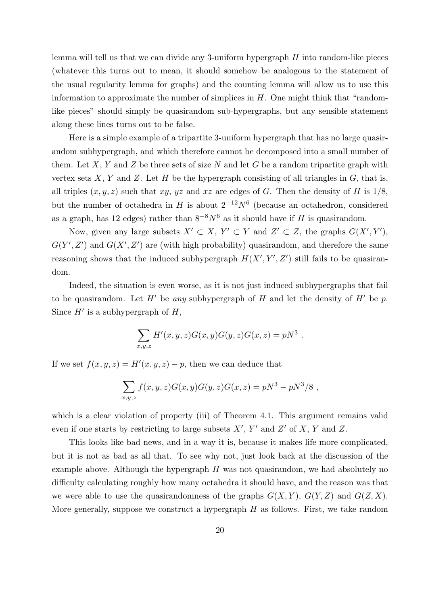lemma will tell us that we can divide any 3-uniform hypergraph  $H$  into random-like pieces (whatever this turns out to mean, it should somehow be analogous to the statement of the usual regularity lemma for graphs) and the counting lemma will allow us to use this information to approximate the number of simplices in  $H$ . One might think that "randomlike pieces" should simply be quasirandom sub-hypergraphs, but any sensible statement along these lines turns out to be false.

Here is a simple example of a tripartite 3-uniform hypergraph that has no large quasirandom subhypergraph, and which therefore cannot be decomposed into a small number of them. Let X, Y and Z be three sets of size N and let G be a random tripartite graph with vertex sets  $X, Y$  and  $Z$ . Let  $H$  be the hypergraph consisting of all triangles in  $G$ , that is, all triples  $(x, y, z)$  such that xy, yz and xz are edges of G. Then the density of H is  $1/8$ , but the number of octahedra in H is about  $2^{-12}N^6$  (because an octahedron, considered as a graph, has 12 edges) rather than  $8^{-8}N^6$  as it should have if H is quasirandom.

Now, given any large subsets  $X' \subset X$ ,  $Y' \subset Y$  and  $Z' \subset Z$ , the graphs  $G(X', Y')$ ,  $G(Y', Z')$  and  $G(X', Z')$  are (with high probability) quasirandom, and therefore the same reasoning shows that the induced subhypergraph  $H(X', Y', Z')$  still fails to be quasirandom.

Indeed, the situation is even worse, as it is not just induced subhypergraphs that fail to be quasirandom. Let  $H'$  be any subhypergraph of H and let the density of  $H'$  be p. Since  $H'$  is a subhypergraph of  $H$ ,

$$
\sum_{x,y,z} H'(x,y,z)G(x,y)G(y,z)G(x,z) = pN^3.
$$

If we set  $f(x, y, z) = H'(x, y, z) - p$ , then we can deduce that

$$
\sum_{x,y,z} f(x,y,z)G(x,y)G(y,z)G(x,z) = pN^3 - pN^3/8,
$$

which is a clear violation of property (iii) of Theorem 4.1. This argument remains valid even if one starts by restricting to large subsets  $X'$ ,  $Y'$  and  $Z'$  of  $X$ ,  $Y$  and  $Z$ .

This looks like bad news, and in a way it is, because it makes life more complicated, but it is not as bad as all that. To see why not, just look back at the discussion of the example above. Although the hypergraph  $H$  was not quasirandom, we had absolutely no difficulty calculating roughly how many octahedra it should have, and the reason was that we were able to use the quasirandomness of the graphs  $G(X, Y)$ ,  $G(Y, Z)$  and  $G(Z, X)$ . More generally, suppose we construct a hypergraph  $H$  as follows. First, we take random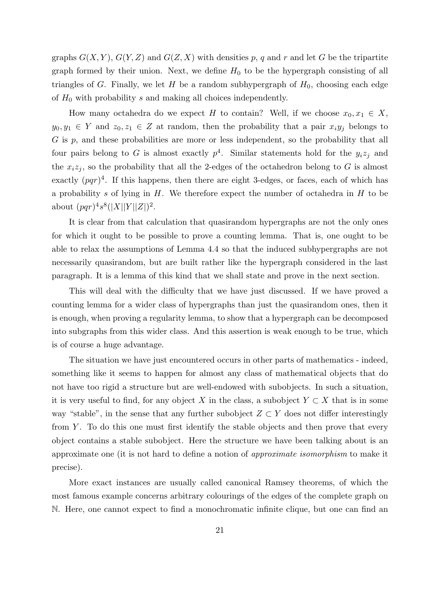graphs  $G(X, Y)$ ,  $G(Y, Z)$  and  $G(Z, X)$  with densities p, q and r and let G be the tripartite graph formed by their union. Next, we define  $H_0$  to be the hypergraph consisting of all triangles of G. Finally, we let H be a random subhypergraph of  $H_0$ , choosing each edge of  $H_0$  with probability s and making all choices independently.

How many octahedra do we expect H to contain? Well, if we choose  $x_0, x_1 \in X$ ,  $y_0, y_1 \in Y$  and  $z_0, z_1 \in Z$  at random, then the probability that a pair  $x_i y_j$  belongs to G is p, and these probabilities are more or less independent, so the probability that all four pairs belong to G is almost exactly  $p^4$ . Similar statements hold for the  $y_i z_j$  and the  $x_i z_j$ , so the probability that all the 2-edges of the octahedron belong to G is almost exactly  $(pqr)^4$ . If this happens, then there are eight 3-edges, or faces, each of which has a probability s of lying in  $H$ . We therefore expect the number of octahedra in  $H$  to be about  $(pqr)^4s^8(|X||Y||Z|)^2$ .

It is clear from that calculation that quasirandom hypergraphs are not the only ones for which it ought to be possible to prove a counting lemma. That is, one ought to be able to relax the assumptions of Lemma 4.4 so that the induced subhypergraphs are not necessarily quasirandom, but are built rather like the hypergraph considered in the last paragraph. It is a lemma of this kind that we shall state and prove in the next section.

This will deal with the difficulty that we have just discussed. If we have proved a counting lemma for a wider class of hypergraphs than just the quasirandom ones, then it is enough, when proving a regularity lemma, to show that a hypergraph can be decomposed into subgraphs from this wider class. And this assertion is weak enough to be true, which is of course a huge advantage.

The situation we have just encountered occurs in other parts of mathematics - indeed, something like it seems to happen for almost any class of mathematical objects that do not have too rigid a structure but are well-endowed with subobjects. In such a situation, it is very useful to find, for any object X in the class, a subobject  $Y \subset X$  that is in some way "stable", in the sense that any further subobject  $Z \subset Y$  does not differ interestingly from  $Y$ . To do this one must first identify the stable objects and then prove that every object contains a stable subobject. Here the structure we have been talking about is an approximate one (it is not hard to define a notion of approximate isomorphism to make it precise).

More exact instances are usually called canonical Ramsey theorems, of which the most famous example concerns arbitrary colourings of the edges of the complete graph on N. Here, one cannot expect to find a monochromatic infinite clique, but one can find an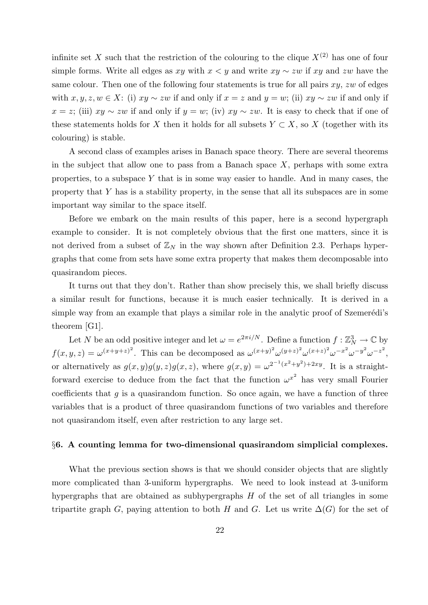infinite set X such that the restriction of the colouring to the clique  $X^{(2)}$  has one of four simple forms. Write all edges as xy with  $x \leq y$  and write  $xy \sim zw$  if xy and zw have the same colour. Then one of the following four statements is true for all pairs  $xy$ ,  $zw$  of edges with  $x, y, z, w \in X$ : (i)  $xy \sim zw$  if and only if  $x = z$  and  $y = w$ ; (ii)  $xy \sim zw$  if and only if  $x = z$ ; (iii)  $xy \sim zw$  if and only if  $y = w$ ; (iv)  $xy \sim zw$ . It is easy to check that if one of these statements holds for X then it holds for all subsets  $Y \subset X$ , so X (together with its colouring) is stable.

A second class of examples arises in Banach space theory. There are several theorems in the subject that allow one to pass from a Banach space  $X$ , perhaps with some extra properties, to a subspace  $Y$  that is in some way easier to handle. And in many cases, the property that Y has is a stability property, in the sense that all its subspaces are in some important way similar to the space itself.

Before we embark on the main results of this paper, here is a second hypergraph example to consider. It is not completely obvious that the first one matters, since it is not derived from a subset of  $\mathbb{Z}_N$  in the way shown after Definition 2.3. Perhaps hypergraphs that come from sets have some extra property that makes them decomposable into quasirandom pieces.

It turns out that they don't. Rather than show precisely this, we shall briefly discuss a similar result for functions, because it is much easier technically. It is derived in a simple way from an example that plays a similar role in the analytic proof of Szemerédi's theorem [G1].

Let N be an odd positive integer and let  $\omega = e^{2\pi i/N}$ . Define a function  $f : \mathbb{Z}_N^3 \to \mathbb{C}$  by  $f(x,y,z) = \omega^{(x+y+z)^2}$ . This can be decomposed as  $\omega^{(x+y)^2} \omega^{(y+z)^2} \omega^{(x+z)^2} \omega^{-x^2} \omega^{-y^2} \omega^{-z^2}$ , or alternatively as  $g(x, y)g(y, z)g(x, z)$ , where  $g(x, y) = \omega^{2^{-1}(x^2+y^2)+2xy}$ . It is a straightforward exercise to deduce from the fact that the function  $\omega^{x^2}$  has very small Fourier coefficients that  $q$  is a quasirandom function. So once again, we have a function of three variables that is a product of three quasirandom functions of two variables and therefore not quasirandom itself, even after restriction to any large set.

#### §6. A counting lemma for two-dimensional quasirandom simplicial complexes.

What the previous section shows is that we should consider objects that are slightly more complicated than 3-uniform hypergraphs. We need to look instead at 3-uniform hypergraphs that are obtained as subhypergraphs  $H$  of the set of all triangles in some tripartite graph G, paying attention to both H and G. Let us write  $\Delta(G)$  for the set of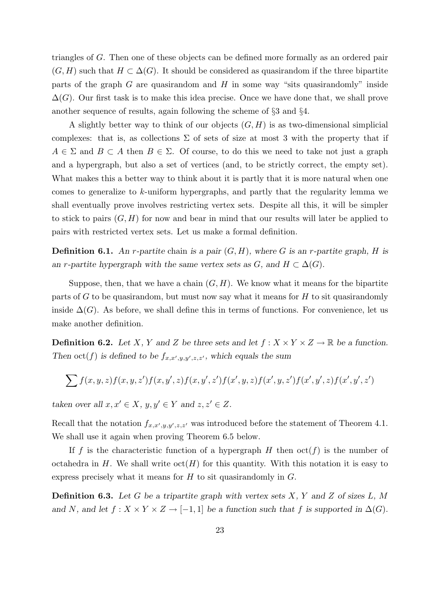triangles of G. Then one of these objects can be defined more formally as an ordered pair  $(G, H)$  such that  $H \subset \Delta(G)$ . It should be considered as quasirandom if the three bipartite parts of the graph  $G$  are quasirandom and  $H$  in some way "sits quasirandomly" inside  $\Delta(G)$ . Our first task is to make this idea precise. Once we have done that, we shall prove another sequence of results, again following the scheme of §3 and §4.

A slightly better way to think of our objects  $(G, H)$  is as two-dimensional simplicial complexes: that is, as collections  $\Sigma$  of sets of size at most 3 with the property that if  $A \in \Sigma$  and  $B \subset A$  then  $B \in \Sigma$ . Of course, to do this we need to take not just a graph and a hypergraph, but also a set of vertices (and, to be strictly correct, the empty set). What makes this a better way to think about it is partly that it is more natural when one comes to generalize to k-uniform hypergraphs, and partly that the regularity lemma we shall eventually prove involves restricting vertex sets. Despite all this, it will be simpler to stick to pairs  $(G, H)$  for now and bear in mind that our results will later be applied to pairs with restricted vertex sets. Let us make a formal definition.

**Definition 6.1.** An r-partite chain is a pair  $(G, H)$ , where G is an r-partite graph, H is an r-partite hypergraph with the same vertex sets as  $G$ , and  $H \subset \Delta(G)$ .

Suppose, then, that we have a chain  $(G, H)$ . We know what it means for the bipartite parts of  $G$  to be quasirandom, but must now say what it means for  $H$  to sit quasirandomly inside  $\Delta(G)$ . As before, we shall define this in terms of functions. For convenience, let us make another definition.

**Definition 6.2.** Let X, Y and Z be three sets and let  $f: X \times Y \times Z \rightarrow \mathbb{R}$  be a function. Then  $\text{oct}(f)$  is defined to be  $f_{x,x',y,y',z,z'}$ , which equals the sum

$$
\sum f(x,y,z)f(x,y,z')f(x,y',z)f(x,y',z')f(x',y,z)f(x',y,z')f(x',y',z)f(x',y',z')
$$

taken over all  $x, x' \in X$ ,  $y, y' \in Y$  and  $z, z' \in Z$ .

Recall that the notation  $f_{x,x',y,y',z,z'}$  was introduced before the statement of Theorem 4.1. We shall use it again when proving Theorem 6.5 below.

If f is the characteristic function of a hypergraph H then  $\text{oct}(f)$  is the number of octahedra in H. We shall write  $\cot(H)$  for this quantity. With this notation it is easy to express precisely what it means for  $H$  to sit quasirandomly in  $G$ .

**Definition 6.3.** Let G be a tripartite graph with vertex sets  $X$ ,  $Y$  and  $Z$  of sizes  $L$ ,  $M$ and N, and let  $f : X \times Y \times Z \to [-1,1]$  be a function such that f is supported in  $\Delta(G)$ .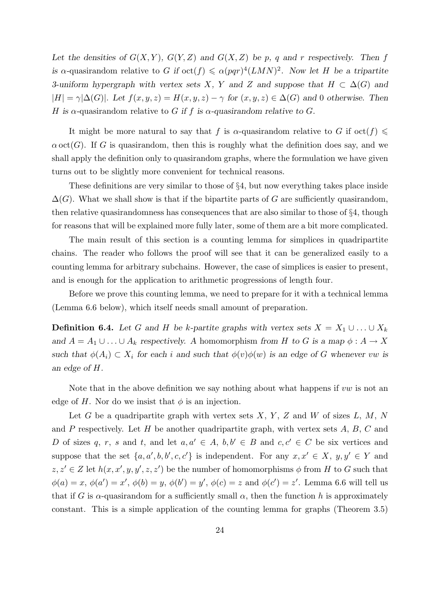Let the densities of  $G(X, Y)$ ,  $G(Y, Z)$  and  $G(X, Z)$  be p, q and r respectively. Then f is a-quasirandom relative to G if  $\cot(f) \leq \alpha(pqr)^4(LMN)^2$ . Now let H be a tripartite 3-uniform hypergraph with vertex sets X, Y and Z and suppose that  $H \subset \Delta(G)$  and  $|H| = \gamma |\Delta(G)|$ . Let  $f(x, y, z) = H(x, y, z) - \gamma$  for  $(x, y, z) \in \Delta(G)$  and 0 otherwise. Then H is  $\alpha$ -quasirandom relative to G if f is  $\alpha$ -quasirandom relative to G.

It might be more natural to say that f is  $\alpha$ -quasirandom relative to G if  $\text{oct}(f) \leq$  $\alpha$  oct(G). If G is quasirandom, then this is roughly what the definition does say, and we shall apply the definition only to quasirandom graphs, where the formulation we have given turns out to be slightly more convenient for technical reasons.

These definitions are very similar to those of §4, but now everything takes place inside  $\Delta(G)$ . What we shall show is that if the bipartite parts of G are sufficiently quasirandom, then relative quasirandomness has consequences that are also similar to those of §4, though for reasons that will be explained more fully later, some of them are a bit more complicated.

The main result of this section is a counting lemma for simplices in quadripartite chains. The reader who follows the proof will see that it can be generalized easily to a counting lemma for arbitrary subchains. However, the case of simplices is easier to present, and is enough for the application to arithmetic progressions of length four.

Before we prove this counting lemma, we need to prepare for it with a technical lemma (Lemma 6.6 below), which itself needs small amount of preparation.

**Definition 6.4.** Let G and H be k-partite graphs with vertex sets  $X = X_1 \cup ... \cup X_k$ and  $A = A_1 \cup ... \cup A_k$  respectively. A homomorphism from H to G is a map  $\phi : A \to X$ such that  $\phi(A_i) \subset X_i$  for each i and such that  $\phi(v)\phi(w)$  is an edge of G whenever vw is an edge of H.

Note that in the above definition we say nothing about what happens if  $vw$  is not an edge of H. Nor do we insist that  $\phi$  is an injection.

Let G be a quadripartite graph with vertex sets  $X, Y, Z$  and W of sizes  $L, M, N$ and  $P$  respectively. Let  $H$  be another quadripartite graph, with vertex sets  $A, B, C$  and D of sizes q, r, s and t, and let  $a, a' \in A$ ,  $b, b' \in B$  and  $c, c' \in C$  be six vertices and suppose that the set  $\{a, a', b, b', c, c'\}$  is independent. For any  $x, x' \in X$ ,  $y, y' \in Y$  and  $z, z' \in Z$  let  $h(x, x', y, y', z, z')$  be the number of homomorphisms  $\phi$  from H to G such that  $\phi(a) = x, \, \phi(a') = x', \, \phi(b) = y, \, \phi(b') = y', \, \phi(c) = z \text{ and } \phi(c') = z'. \text{ Lemma 6.6 will tell us }$ that if G is  $\alpha$ -quasirandom for a sufficiently small  $\alpha$ , then the function h is approximately constant. This is a simple application of the counting lemma for graphs (Theorem 3.5)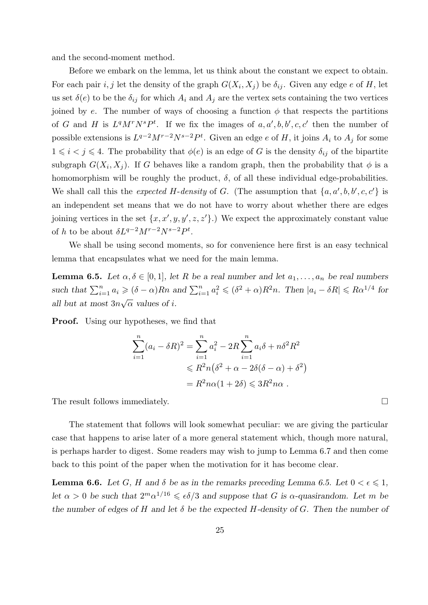and the second-moment method.

Before we embark on the lemma, let us think about the constant we expect to obtain. For each pair  $i, j$  let the density of the graph  $G(X_i, X_j)$  be  $\delta_{ij}$ . Given any edge e of H, let us set  $\delta(e)$  to be the  $\delta_{ij}$  for which  $A_i$  and  $A_j$  are the vertex sets containing the two vertices joined by e. The number of ways of choosing a function  $\phi$  that respects the partitions of G and H is  $L^qM^rN^sP^t$ . If we fix the images of  $a, a', b, b', c, c'$  then the number of possible extensions is  $L^{q-2}M^{r-2}N^{s-2}P^t$ . Given an edge e of H, it joins  $A_i$  to  $A_j$  for some  $1 \leq i < j \leq 4$ . The probability that  $\phi(e)$  is an edge of G is the density  $\delta_{ij}$  of the bipartite subgraph  $G(X_i, X_j)$ . If G behaves like a random graph, then the probability that  $\phi$  is a homomorphism will be roughly the product,  $\delta$ , of all these individual edge-probabilities. We shall call this the *expected H-density* of G. (The assumption that  $\{a, a', b, b', c, c'\}$  is an independent set means that we do not have to worry about whether there are edges joining vertices in the set  $\{x, x', y, y', z, z'\}$ .) We expect the approximately constant value of h to be about  $\delta L^{q-2} M^{r-2} N^{s-2} P^t$ .

We shall be using second moments, so for convenience here first is an easy technical lemma that encapsulates what we need for the main lemma.

**Lemma 6.5.** Let  $\alpha, \delta \in [0,1]$ , let R be a real number and let  $a_1, \ldots, a_n$  be real numbers such that  $\sum_{i=1}^n a_i \geqslant (\delta - \alpha)Rn$  and  $\sum_{i=1}^n a_i^2 \leqslant (\delta^2 + \alpha)R^2n$ . Then  $|a_i - \delta R| \leqslant R\alpha^{1/4}$  for all but at most  $3n\sqrt{\alpha}$  values of i. √

**Proof.** Using our hypotheses, we find that

$$
\sum_{i=1}^{n} (a_i - \delta R)^2 = \sum_{i=1}^{n} a_i^2 - 2R \sum_{i=1}^{n} a_i \delta + n \delta^2 R^2
$$
  
\$\leq R^2 n (\delta^2 + \alpha - 2\delta(\delta - \alpha) + \delta^2)\$  
= R^2 n \alpha (1 + 2\delta) \leq 3R^2 n \alpha .

The result follows immediately.  $\Box$ 

The statement that follows will look somewhat peculiar: we are giving the particular case that happens to arise later of a more general statement which, though more natural, is perhaps harder to digest. Some readers may wish to jump to Lemma 6.7 and then come back to this point of the paper when the motivation for it has become clear.

**Lemma 6.6.** Let G, H and  $\delta$  be as in the remarks preceding Lemma 6.5. Let  $0 < \epsilon \leq 1$ , let  $\alpha > 0$  be such that  $2^m \alpha^{1/16} \leq \epsilon \delta/3$  and suppose that G is  $\alpha$ -quasirandom. Let m be the number of edges of H and let  $\delta$  be the expected H-density of G. Then the number of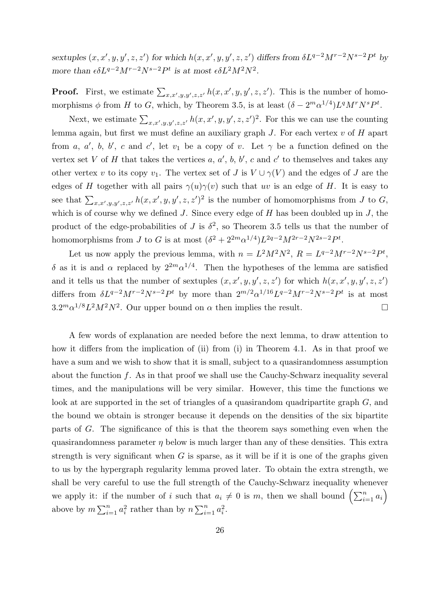sextuples  $(x, x', y, y', z, z')$  for which  $h(x, x', y, y', z, z')$  differs from  $\delta L^{q-2}M^{r-2}N^{s-2}P^t$  by more than  $\epsilon \delta L^{q-2} M^{r-2} N^{s-2} P^t$  is at most  $\epsilon \delta L^2 M^2 N^2$ .

**Proof.** First, we estimate  $\sum_{x,x',y,y',z,z'} h(x,x',y,y',z,z')$ . This is the number of homomorphisms  $\phi$  from H to G, which, by Theorem 3.5, is at least  $(\delta - 2^m \alpha^{1/4}) L^q M^r N^s P^t$ .

Next, we estimate  $\sum_{x,x',y,y',z,z'} h(x,x',y,y',z,z')^2$ . For this we can use the counting lemma again, but first we must define an auxiliary graph  $J$ . For each vertex  $v$  of  $H$  apart from a, a', b, b', c and c', let  $v_1$  be a copy of v. Let  $\gamma$  be a function defined on the vertex set V of H that takes the vertices a, a', b, b', c and c' to themselves and takes any other vertex v to its copy  $v_1$ . The vertex set of J is  $V \cup \gamma(V)$  and the edges of J are the edges of H together with all pairs  $\gamma(u)\gamma(v)$  such that uv is an edge of H. It is easy to see that  $\sum_{x,x',y,y',z,z'} h(x,x',y,y',z,z')^2$  is the number of homomorphisms from J to G, which is of course why we defined  $J$ . Since every edge of  $H$  has been doubled up in  $J$ , the product of the edge-probabilities of J is  $\delta^2$ , so Theorem 3.5 tells us that the number of homomorphisms from J to G is at most  $(\delta^2 + 2^{2m} \alpha^{1/4}) L^{2q-2} M^{2r-2} N^{2s-2} P^t$ .

Let us now apply the previous lemma, with  $n = L^2 M^2 N^2$ ,  $R = L^{q-2} M^{r-2} N^{s-2} P^t$ , δ as it is and α replaced by  $2^{2m} \alpha^{1/4}$ . Then the hypotheses of the lemma are satisfied and it tells us that the number of sextuples  $(x, x', y, y', z, z')$  for which  $h(x, x', y, y', z, z')$ differs from  $\delta L^{q-2}M^{r-2}N^{s-2}P^t$  by more than  $2^{m/2}\alpha^{1/16}L^{q-2}M^{r-2}N^{s-2}P^t$  is at most  $3.2^m\alpha^{1/8}L^2M^2N^2$ . Our upper bound on  $\alpha$  then implies the result.

A few words of explanation are needed before the next lemma, to draw attention to how it differs from the implication of (ii) from (i) in Theorem 4.1. As in that proof we have a sum and we wish to show that it is small, subject to a quasirandomness assumption about the function  $f$ . As in that proof we shall use the Cauchy-Schwarz inequality several times, and the manipulations will be very similar. However, this time the functions we look at are supported in the set of triangles of a quasirandom quadripartite graph G, and the bound we obtain is stronger because it depends on the densities of the six bipartite parts of G. The significance of this is that the theorem says something even when the quasirandomness parameter  $\eta$  below is much larger than any of these densities. This extra strength is very significant when  $G$  is sparse, as it will be if it is one of the graphs given to us by the hypergraph regularity lemma proved later. To obtain the extra strength, we shall be very careful to use the full strength of the Cauchy-Schwarz inequality whenever we apply it: if the number of i such that  $a_i \neq 0$  is m, then we shall bound  $\left(\sum_{i=1}^n a_i\right)$ above by  $m \sum_{i=1}^n a_i^2$  rather than by  $n \sum_{i=1}^n a_i^2$ .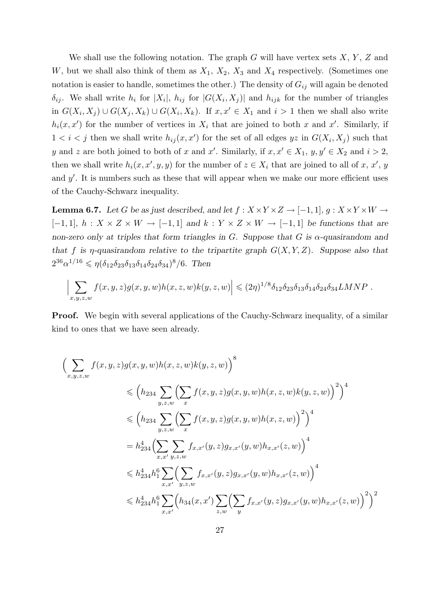We shall use the following notation. The graph G will have vertex sets  $X, Y, Z$  and W, but we shall also think of them as  $X_1, X_2, X_3$  and  $X_4$  respectively. (Sometimes one notation is easier to handle, sometimes the other.) The density of  $G_{ij}$  will again be denoted  $\delta_{ij}$ . We shall write  $h_i$  for  $|X_i|$ ,  $h_{ij}$  for  $|G(X_i, X_j)|$  and  $h_{ijk}$  for the number of triangles in  $G(X_i, X_j) \cup G(X_j, X_k) \cup G(X_i, X_k)$ . If  $x, x' \in X_1$  and  $i > 1$  then we shall also write  $h_i(x, x')$  for the number of vertices in  $X_i$  that are joined to both x and x'. Similarly, if  $1 < i < j$  then we shall write  $h_{ij}(x, x')$  for the set of all edges  $yz$  in  $G(X_i, X_j)$  such that y and z are both joined to both of x and x'. Similarly, if  $x, x' \in X_1$ ,  $y, y' \in X_2$  and  $i > 2$ , then we shall write  $h_i(x, x', y, y)$  for the number of  $z \in X_i$  that are joined to all of x, x', y and  $y'$ . It is numbers such as these that will appear when we make our more efficient uses of the Cauchy-Schwarz inequality.

**Lemma 6.7.** Let G be as just described, and let  $f : X \times Y \times Z \rightarrow [-1,1], g : X \times Y \times W \rightarrow$  $[-1, 1], h: X \times Z \times W \rightarrow [-1, 1]$  and  $k: Y \times Z \times W \rightarrow [-1, 1]$  be functions that are non-zero only at triples that form triangles in G. Suppose that G is  $\alpha$ -quasirandom and that f is  $\eta$ -quasirandom relative to the tripartite graph  $G(X, Y, Z)$ . Suppose also that  $2^{36} \alpha^{1/16} \leqslant \eta(\delta_{12}\delta_{23}\delta_{13}\delta_{14}\delta_{24}\delta_{34})^8/6$ . Then

$$
\left|\sum_{x,y,z,w} f(x,y,z)g(x,y,w)h(x,z,w)k(y,z,w)\right| \leqslant (2\eta)^{1/8}\delta_{12}\delta_{23}\delta_{13}\delta_{14}\delta_{24}\delta_{34}LMNP.
$$

**Proof.** We begin with several applications of the Cauchy-Schwarz inequality, of a similar kind to ones that we have seen already.

$$
\left(\sum_{x,y,z,w} f(x,y,z)g(x,y,w)h(x,z,w)k(y,z,w)\right)^{8}
$$
  
\n
$$
\leq \left(h_{234} \sum_{y,z,w} \left(\sum_{x} f(x,y,z)g(x,y,w)h(x,z,w)k(y,z,w)\right)^{2}\right)^{4}
$$
  
\n
$$
\leq \left(h_{234} \sum_{y,z,w} \left(\sum_{x} f(x,y,z)g(x,y,w)h(x,z,w)\right)^{2}\right)^{4}
$$
  
\n
$$
= h_{234}^{4} \left(\sum_{x,x',y,z,w} f_{x,x'}(y,z)g_{x,x'}(y,w)h_{x,x'}(z,w)\right)^{4}
$$
  
\n
$$
\leq h_{234}^{4} h_{1}^{6} \sum_{x,x'} \left(\sum_{y,z,w} f_{x,x'}(y,z)g_{x,x'}(y,w)h_{x,x'}(z,w)\right)^{4}
$$
  
\n
$$
\leq h_{234}^{4} h_{1}^{6} \sum_{x,x'} \left(h_{34}(x,x') \sum_{z,w} \left(\sum_{y} f_{x,x'}(y,z)g_{x,x'}(y,w)h_{x,x'}(z,w)\right)^{2}\right)^{2}
$$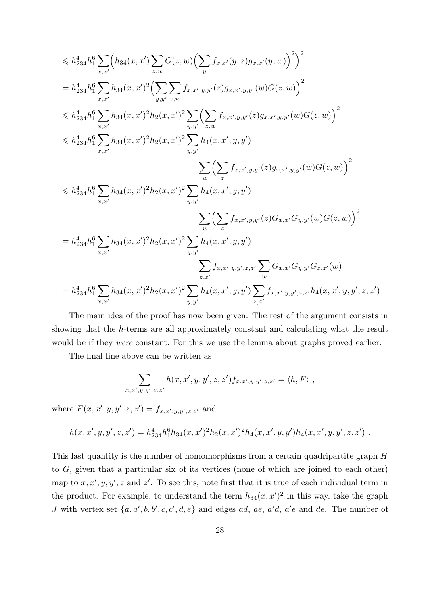$$
\leq h_{234}^{4}h_{1}^{6}\sum_{x,x'}\left(h_{34}(x,x')\sum_{z,w}G(z,w)\left(\sum_{y}f_{x,x'}(y,z)g_{x,x'}(y,w)\right)^{2}\right)^{2}
$$
\n
$$
= h_{234}^{4}h_{1}^{6}\sum_{x,x'}h_{34}(x,x')^{2}\left(\sum_{y,y'}\sum_{z,w}f_{x,x',y,y'}(z)g_{x,x',y,y'}(w)G(z,w)\right)^{2}
$$
\n
$$
\leq h_{234}^{4}h_{1}^{6}\sum_{x,x'}h_{34}(x,x')^{2}h_{2}(x,x')^{2}\sum_{y,y'}\left(\sum_{z,w}f_{x,x',y,y'}(z)g_{x,x',y,y'}(w)G(z,w)\right)^{2}
$$
\n
$$
\leq h_{234}^{4}h_{1}^{6}\sum_{x,x'}h_{34}(x,x')^{2}h_{2}(x,x')^{2}\sum_{y,y'}h_{4}(x,x',y,y')\left(\sum_{z}f_{x,x',y,y'}(z)g_{x,x',y,y'}(w)G(z,w)\right)^{2}
$$
\n
$$
\leq h_{234}^{4}h_{1}^{6}\sum_{x,x'}h_{34}(x,x')^{2}h_{2}(x,x')^{2}\sum_{y,y'}h_{4}(x,x',y,y')
$$
\n
$$
\sum_{w}\left(\sum_{z}f_{x,x',y,y'}(z)G_{x,x'}G_{y,y'}(w)G(z,w)\right)^{2}
$$
\n
$$
= h_{234}^{4}h_{1}^{6}\sum_{x,x'}h_{34}(x,x')^{2}h_{2}(x,x')^{2}\sum_{y,y'}h_{4}(x,x',y,y')
$$
\n
$$
\sum_{z,z'}f_{x,x',y,y',z,z'}\sum_{w}G_{x,x'}G_{y,y'}G_{z,z'}(w)
$$
\n
$$
= h_{234}^{4}h_{1}^{6}\sum_{x,x'}h_{34}(x,x')^{2}h_{2}(x,x')^{2}\sum_{y,y'}h_{4}(x,x',y,y')\sum_{z,z'}f_{x,x',y,y',z,z'}h_{4}(x,x',y,y',z,z')
$$

The main idea of the proof has now been given. The rest of the argument consists in showing that the h-terms are all approximately constant and calculating what the result would be if they *were* constant. For this we use the lemma about graphs proved earlier.

The final line above can be written as

$$
\sum_{x,x',y,y',z,z'} h(x,x',y,y',z,z') f_{x,x',y,y',z,z'} = \langle h, F \rangle ,
$$

where  $F(x, x', y, y', z, z') = f_{x, x', y, y', z, z'}$  and

$$
h(x, x', y, y', z, z') = h_{234}^{4}h_1^{6}h_{34}(x, x')^{2}h_2(x, x')^{2}h_4(x, x', y, y')h_4(x, x', y, y', z, z') .
$$

This last quantity is the number of homomorphisms from a certain quadripartite graph H to G, given that a particular six of its vertices (none of which are joined to each other) map to  $x, x', y, y', z$  and  $z'$ . To see this, note first that it is true of each individual term in the product. For example, to understand the term  $h_{34}(x, x')^2$  in this way, take the graph J with vertex set  $\{a, a', b, b', c, c', d, e\}$  and edges ad, ae, a'd, a'e and de. The number of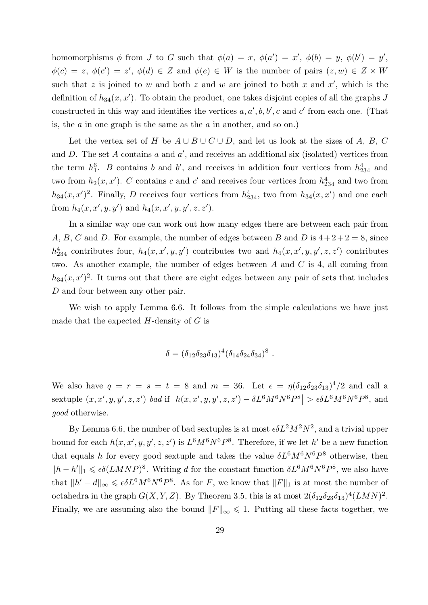homomorphisms  $\phi$  from J to G such that  $\phi(a) = x$ ,  $\phi(a') = x'$ ,  $\phi(b) = y$ ,  $\phi(b') = y'$ ,  $\phi(c) = z, \ \phi(c') = z'$ ,  $\phi(d) \in Z$  and  $\phi(e) \in W$  is the number of pairs  $(z, w) \in Z \times W$ such that z is joined to w and both z and w are joined to both x and  $x'$ , which is the definition of  $h_{34}(x, x')$ . To obtain the product, one takes disjoint copies of all the graphs J constructed in this way and identifies the vertices  $a, a', b, b', c$  and c' from each one. (That is, the  $a$  in one graph is the same as the  $a$  in another, and so on.)

Let the vertex set of H be  $A \cup B \cup C \cup D$ , and let us look at the sizes of A, B, C and  $D$ . The set  $A$  contains  $a$  and  $a'$ , and receives an additional six (isolated) vertices from the term  $h_1^6$ . B contains b and b', and receives in addition four vertices from  $h_{234}^4$  and two from  $h_2(x, x')$ . C contains c and c' and receives four vertices from  $h_{234}^4$  and two from  $h_{34}(x, x')^2$ . Finally, D receives four vertices from  $h_{234}^4$ , two from  $h_{34}(x, x')$  and one each from  $h_4(x, x', y, y')$  and  $h_4(x, x', y, y', z, z')$ .

In a similar way one can work out how many edges there are between each pair from A, B, C and D. For example, the number of edges between B and D is  $4+2+2=8$ , since  $h_{234}^4$  contributes four,  $h_4(x, x', y, y')$  contributes two and  $h_4(x, x', y, y', z, z')$  contributes two. As another example, the number of edges between A and C is 4, all coming from  $h_{34}(x, x')^2$ . It turns out that there are eight edges between any pair of sets that includes D and four between any other pair.

We wish to apply Lemma 6.6. It follows from the simple calculations we have just made that the expected  $H$ -density of  $G$  is

$$
\delta = (\delta_{12}\delta_{23}\delta_{13})^4(\delta_{14}\delta_{24}\delta_{34})^8.
$$

We also have  $q = r = s = t = 8$  and  $m = 36$ . Let  $\epsilon = \eta(\delta_{12}\delta_{23}\delta_{13})^4/2$  and call a sextuple  $(x, x', y, y', z, z')$  bad if  $|h(x, x', y, y', z, z') - \delta L^6 M^6 N^6 P^8| > \epsilon \delta L^6 M^6 N^6 P^8$ , and good otherwise.

By Lemma 6.6, the number of bad sextuples is at most  $\epsilon \delta L^2 M^2 N^2$ , and a trivial upper bound for each  $h(x, x', y, y', z, z')$  is  $L^6M^6N^6P^8$ . Therefore, if we let h' be a new function that equals h for every good sextuple and takes the value  $\delta L^6 M^6 N^6 P^8$  otherwise, then  $||h-h'||_1 \leqslant \epsilon \delta (LMNP)^8$ . Writing d for the constant function  $\delta L^6M^6N^6P^8$ , we also have that  $||h' - d||_{\infty} \leq \epsilon \delta L^6 M^6 N^6 P^8$ . As for F, we know that  $||F||_1$  is at most the number of octahedra in the graph  $G(X, Y, Z)$ . By Theorem 3.5, this is at most  $2(\delta_{12}\delta_{23}\delta_{13})^4(LMN)^2$ . Finally, we are assuming also the bound  $||F||_{\infty} \leq 1$ . Putting all these facts together, we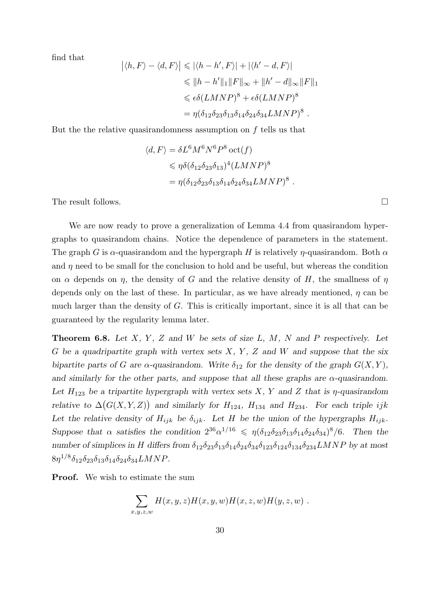find that

$$
\left| \langle h, F \rangle - \langle d, F \rangle \right| \leqslant \left| \langle h - h', F \rangle \right| + \left| \langle h' - d, F \rangle \right|
$$
  
\n
$$
\leqslant \| h - h' \|_1 \| F \|_{\infty} + \| h' - d \|_{\infty} \| F \|_1
$$
  
\n
$$
\leqslant \epsilon \delta (LMNP)^8 + \epsilon \delta (LMNP)^8
$$
  
\n
$$
= \eta (\delta_{12} \delta_{23} \delta_{13} \delta_{14} \delta_{24} \delta_{34} LMNP)^8.
$$

But the the relative quasirandomness assumption on f tells us that

$$
\langle d, F \rangle = \delta L^6 M^6 N^6 P^8 \cot(f)
$$
  
\n
$$
\leq \eta \delta (\delta_{12} \delta_{23} \delta_{13})^4 (LMNP)^8
$$
  
\n
$$
= \eta (\delta_{12} \delta_{23} \delta_{13} \delta_{14} \delta_{24} \delta_{34} LMNP)^8.
$$

The result follows.

We are now ready to prove a generalization of Lemma 4.4 from quasirandom hypergraphs to quasirandom chains. Notice the dependence of parameters in the statement. The graph G is  $\alpha$ -quasirandom and the hypergraph H is relatively  $\eta$ -quasirandom. Both  $\alpha$ and  $\eta$  need to be small for the conclusion to hold and be useful, but whereas the condition on  $\alpha$  depends on  $\eta$ , the density of G and the relative density of H, the smallness of  $\eta$ depends only on the last of these. In particular, as we have already mentioned,  $\eta$  can be much larger than the density of  $G$ . This is critically important, since it is all that can be guaranteed by the regularity lemma later.

**Theorem 6.8.** Let  $X, Y, Z$  and  $W$  be sets of size  $L, M, N$  and  $P$  respectively. Let G be a quadripartite graph with vertex sets  $X, Y, Z$  and W and suppose that the six bipartite parts of G are  $\alpha$ -quasirandom. Write  $\delta_{12}$  for the density of the graph  $G(X, Y)$ , and similarly for the other parts, and suppose that all these graphs are  $\alpha$ -quasirandom. Let  $H_{123}$  be a tripartite hypergraph with vertex sets X, Y and Z that is  $\eta$ -quasirandom relative to  $\Delta(G(X, Y, Z))$  and similarly for  $H_{124}$ ,  $H_{134}$  and  $H_{234}$ . For each triple ijk Let the relative density of  $H_{ijk}$  be  $\delta_{ijk}$ . Let H be the union of the hypergraphs  $H_{ijk}$ . Suppose that  $\alpha$  satisfies the condition  $2^{36} \alpha^{1/16} \leq \eta(\delta_{12}\delta_{23}\delta_{13}\delta_{14}\delta_{24}\delta_{34})^8/6$ . Then the number of simplices in H differs from  $\delta_{12}\delta_{23}\delta_{13}\delta_{14}\delta_{24}\delta_{34}\delta_{123}\delta_{124}\delta_{134}\delta_{234}LMNP$  by at most  $8\eta^{1/8}\delta_{12}\delta_{23}\delta_{13}\delta_{14}\delta_{24}\delta_{34}LMNP.$ 

**Proof.** We wish to estimate the sum

$$
\sum_{x,y,z,w} H(x,y,z)H(x,y,w)H(x,z,w)H(y,z,w) .
$$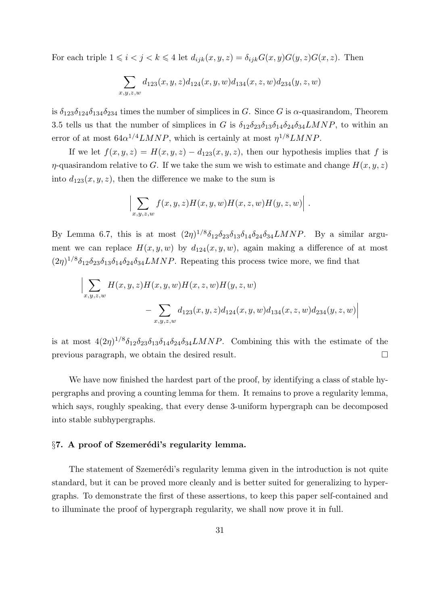For each triple  $1 \leq i < j < k \leq 4$  let  $d_{ijk}(x, y, z) = \delta_{ijk}G(x, y)G(y, z)G(x, z)$ . Then

$$
\sum_{x,y,z,w} d_{123}(x,y,z) d_{124}(x,y,w) d_{134}(x,z,w) d_{234}(y,z,w)
$$

is  $\delta_{123}\delta_{124}\delta_{134}\delta_{234}$  times the number of simplices in G. Since G is  $\alpha$ -quasirandom, Theorem 3.5 tells us that the number of simplices in G is  $\delta_{12}\delta_{23}\delta_{13}\delta_{14}\delta_{24}\delta_{34}LMNP$ , to within an error of at most  $64\alpha^{1/4}LMNP$ , which is certainly at most  $\eta^{1/8}LMNP$ .

If we let  $f(x, y, z) = H(x, y, z) - d_{123}(x, y, z)$ , then our hypothesis implies that f is  $\eta$ -quasirandom relative to G. If we take the sum we wish to estimate and change  $H(x, y, z)$ into  $d_{123}(x, y, z)$ , then the difference we make to the sum is

$$
\left|\sum_{x,y,z,w} f(x,y,z)H(x,y,w)H(x,z,w)H(y,z,w)\right|.
$$

By Lemma 6.7, this is at most  $(2\eta)^{1/8}\delta_{12}\delta_{23}\delta_{13}\delta_{14}\delta_{24}\delta_{34}LMNP$ . By a similar argument we can replace  $H(x, y, w)$  by  $d_{124}(x, y, w)$ , again making a difference of at most  $(2\eta)^{1/8}\delta_{12}\delta_{23}\delta_{13}\delta_{14}\delta_{24}\delta_{34}LMNP$ . Repeating this process twice more, we find that

$$
\Big| \sum_{x,y,z,w} H(x,y,z)H(x,y,w)H(x,z,w)H(y,z,w)
$$
  
 
$$
- \sum_{x,y,z,w} d_{123}(x,y,z) d_{124}(x,y,w) d_{134}(x,z,w) d_{234}(y,z,w) \Big|
$$

is at most  $4(2\eta)^{1/8}\delta_{12}\delta_{23}\delta_{13}\delta_{14}\delta_{24}\delta_{34}LMNP$ . Combining this with the estimate of the previous paragraph, we obtain the desired result.

We have now finished the hardest part of the proof, by identifying a class of stable hypergraphs and proving a counting lemma for them. It remains to prove a regularity lemma, which says, roughly speaking, that every dense 3-uniform hypergraph can be decomposed into stable subhypergraphs.

# $§7.$  A proof of Szemerédi's regularity lemma.

The statement of Szemerédi's regularity lemma given in the introduction is not quite standard, but it can be proved more cleanly and is better suited for generalizing to hypergraphs. To demonstrate the first of these assertions, to keep this paper self-contained and to illuminate the proof of hypergraph regularity, we shall now prove it in full.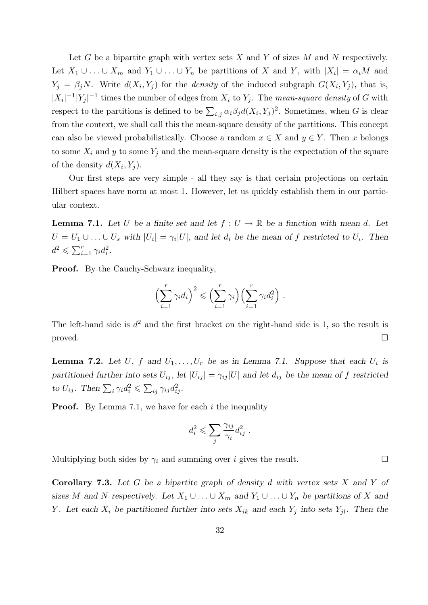Let G be a bipartite graph with vertex sets X and Y of sizes M and N respectively. Let  $X_1 \cup \ldots \cup X_m$  and  $Y_1 \cup \ldots \cup Y_n$  be partitions of X and Y, with  $|X_i| = \alpha_i M$  and  $Y_j = \beta_j N$ . Write  $d(X_i, Y_j)$  for the *density* of the induced subgraph  $G(X_i, Y_j)$ , that is,  $|X_i|^{-1}|Y_j|^{-1}$  times the number of edges from  $X_i$  to  $Y_j$ . The mean-square density of G with respect to the partitions is defined to be  $\sum_{i,j} \alpha_i \beta_j d(X_i, Y_j)^2$ . Sometimes, when G is clear from the context, we shall call this the mean-square density of the partitions. This concept can also be viewed probabilistically. Choose a random  $x \in X$  and  $y \in Y$ . Then x belongs to some  $X_i$  and y to some  $Y_j$  and the mean-square density is the expectation of the square of the density  $d(X_i, Y_j)$ .

Our first steps are very simple - all they say is that certain projections on certain Hilbert spaces have norm at most 1. However, let us quickly establish them in our particular context.

**Lemma 7.1.** Let U be a finite set and let  $f: U \to \mathbb{R}$  be a function with mean d. Let  $U = U_1 \cup \ldots \cup U_s$  with  $|U_i| = \gamma_i |U|$ , and let  $d_i$  be the mean of f restricted to  $U_i$ . Then  $d^2 \leqslant \sum_{i=1}^r \gamma_i d_i^2.$ 

Proof. By the Cauchy-Schwarz inequality,

$$
\left(\sum_{i=1}^r \gamma_i d_i\right)^2 \leqslant \left(\sum_{i=1}^r \gamma_i\right)\left(\sum_{i=1}^r \gamma_i d_i^2\right).
$$

The left-hand side is  $d^2$  and the first bracket on the right-hand side is 1, so the result is  $\Box$ 

**Lemma 7.2.** Let U, f and  $U_1, \ldots, U_r$  be as in Lemma 7.1. Suppose that each  $U_i$  is partitioned further into sets  $U_{ij}$ , let  $|U_{ij}| = \gamma_{ij} |U|$  and let  $d_{ij}$  be the mean of f restricted to  $U_{ij}$ . Then  $\sum_i \gamma_i d_i^2 \leqslant \sum_{ij} \gamma_{ij} d_{ij}^2$ .

**Proof.** By Lemma 7.1, we have for each i the inequality

$$
d_i^2 \leqslant \sum_j \frac{\gamma_{ij}}{\gamma_i} d_{ij}^2 \ .
$$

Multiplying both sides by  $\gamma_i$  and summing over *i* gives the result.

**Corollary 7.3.** Let G be a bipartite graph of density  $d$  with vertex sets  $X$  and  $Y$  of sizes M and N respectively. Let  $X_1 \cup \ldots \cup X_m$  and  $Y_1 \cup \ldots \cup Y_n$  be partitions of X and Y. Let each  $X_i$  be partitioned further into sets  $X_{ik}$  and each  $Y_j$  into sets  $Y_{jl}$ . Then the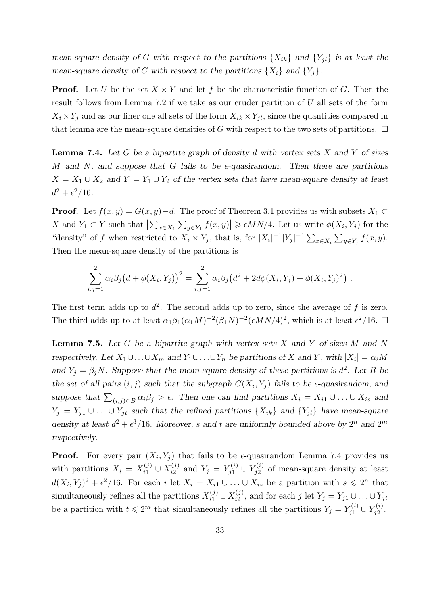mean-square density of G with respect to the partitions  $\{X_{ik}\}\$  and  $\{Y_{jl}\}\$ is at least the mean-square density of G with respect to the partitions  $\{X_i\}$  and  $\{Y_i\}$ .

**Proof.** Let U be the set  $X \times Y$  and let f be the characteristic function of G. Then the result follows from Lemma 7.2 if we take as our cruder partition of U all sets of the form  $X_i \times Y_j$  and as our finer one all sets of the form  $X_{ik} \times Y_{jl}$ , since the quantities compared in that lemma are the mean-square densities of G with respect to the two sets of partitions.  $\Box$ 

**Lemma 7.4.** Let G be a bipartite graph of density d with vertex sets X and Y of sizes M and N, and suppose that G fails to be  $\epsilon$ -quasirandom. Then there are partitions  $X = X_1 \cup X_2$  and  $Y = Y_1 \cup Y_2$  of the vertex sets that have mean-square density at least  $d^2 + \epsilon^2/16$ .

**Proof.** Let  $f(x, y) = G(x, y) - d$ . The proof of Theorem 3.1 provides us with subsets  $X_1 \subset$ X and  $Y_1 \subset Y$  such that  $\left|\sum_{x \in X_1} \sum_{y \in Y_1} f(x, y)\right| \geq \epsilon M N/4$ . Let us write  $\phi(X_i, Y_j)$  for the "density" of f when restricted to  $X_i \times Y_j$ , that is, for  $|X_i|^{-1}|Y_j|^{-1} \sum_{x \in X_i} \sum_{y \in Y_j} f(x, y)$ . Then the mean-square density of the partitions is

$$
\sum_{i,j=1}^2 \alpha_i \beta_j (d + \phi(X_i, Y_j))^2 = \sum_{i,j=1}^2 \alpha_i \beta_j (d^2 + 2d\phi(X_i, Y_j) + \phi(X_i, Y_j)^2).
$$

The first term adds up to  $d^2$ . The second adds up to zero, since the average of f is zero. The third adds up to at least  $\alpha_1 \beta_1 (\alpha_1 M)^{-2} (\beta_1 N)^{-2} (\epsilon M N/4)^2$ , which is at least  $\epsilon^2/16$ .

**Lemma 7.5.** Let G be a bipartite graph with vertex sets X and Y of sizes M and N respectively. Let  $X_1 \cup \ldots \cup X_m$  and  $Y_1 \cup \ldots \cup Y_n$  be partitions of X and Y, with  $|X_i| = \alpha_i M$ and  $Y_j = \beta_j N$ . Suppose that the mean-square density of these partitions is  $d^2$ . Let B be the set of all pairs  $(i, j)$  such that the subgraph  $G(X_i, Y_j)$  fails to be  $\epsilon$ -quasirandom, and suppose that  $\sum_{(i,j)\in B} \alpha_i\beta_j > \epsilon$ . Then one can find partitions  $X_i = X_{i1} \cup \ldots \cup X_{is}$  and  $Y_j = Y_{j1} \cup \ldots \cup Y_{jt}$  such that the refined partitions  $\{X_{ik}\}\$  and  $\{Y_{jl}\}\$  have mean-square density at least  $d^2 + \epsilon^3/16$ . Moreover, s and t are uniformly bounded above by  $2^n$  and  $2^m$ respectively.

**Proof.** For every pair  $(X_i, Y_j)$  that fails to be  $\epsilon$ -quasirandom Lemma 7.4 provides us with partitions  $X_i = X_{i1}^{(j)}$  $x_{i1}^{(j)} \cup X_{i2}^{(j)}$  $Y_{i2}^{(j)}$  and  $Y_j = Y_{j1}^{(i)}$  $Y^{(i)}_{j1} \cup Y^{(i)}_{j2}$  $j_2^{(i)}$  of mean-square density at least  $d(X_i, Y_j)^2 + \epsilon^2/16$ . For each i let  $X_i = X_{i1} \cup ... \cup X_{is}$  be a partition with  $s \leq 2^n$  that simultaneously refines all the partitions  $X_{i1}^{(j)}$  $x_{i1}^{(j)} \cup X_{i2}^{(j)}$  $i_2^{(j)}$ , and for each j let  $Y_j = Y_{j1} \cup \ldots \cup Y_{jt}$ be a partition with  $t \leq 2^m$  that simultaneously refines all the partitions  $Y_j = Y_{j1}^{(i)}$  $Y^{(i)}_{j1} \cup Y^{(i)}_{j2}$  $\frac{\zeta^{(i)}}{j2}.$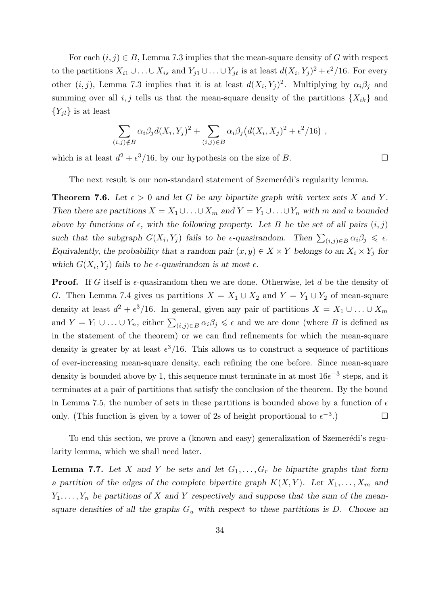For each  $(i, j) \in B$ , Lemma 7.3 implies that the mean-square density of G with respect to the partitions  $X_{i1} \cup \ldots \cup X_{is}$  and  $Y_{j1} \cup \ldots \cup Y_{jt}$  is at least  $d(X_i, Y_j)^2 + \epsilon^2/16$ . For every other  $(i, j)$ , Lemma 7.3 implies that it is at least  $d(X_i, Y_j)^2$ . Multiplying by  $\alpha_i \beta_j$  and summing over all i, j tells us that the mean-square density of the partitions  $\{X_{ik}\}\$  and  ${Y_{il}}$  is at least

$$
\sum_{(i,j)\notin B} \alpha_i \beta_j d(X_i, Y_j)^2 + \sum_{(i,j)\in B} \alpha_i \beta_j (d(X_i, X_j)^2 + \epsilon^2/16),
$$

which is at least  $d^2 + \epsilon^3/16$ , by our hypothesis on the size of B.

The next result is our non-standard statement of Szemerédi's regularity lemma.

**Theorem 7.6.** Let  $\epsilon > 0$  and let G be any bipartite graph with vertex sets X and Y. Then there are partitions  $X = X_1 \cup ... \cup X_m$  and  $Y = Y_1 \cup ... \cup Y_n$  with m and n bounded above by functions of  $\epsilon$ , with the following property. Let B be the set of all pairs  $(i, j)$ such that the subgraph  $G(X_i, Y_j)$  fails to be  $\epsilon$ -quasirandom. Then  $\sum_{(i,j)\in B} \alpha_i \beta_j \leq \epsilon$ . Equivalently, the probability that a random pair  $(x, y) \in X \times Y$  belongs to an  $X_i \times Y_j$  for which  $G(X_i, Y_j)$  fails to be  $\epsilon$ -quasirandom is at most  $\epsilon$ .

**Proof.** If G itself is  $\epsilon$ -quasirandom then we are done. Otherwise, let d be the density of G. Then Lemma 7.4 gives us partitions  $X = X_1 \cup X_2$  and  $Y = Y_1 \cup Y_2$  of mean-square density at least  $d^2 + \epsilon^3/16$ . In general, given any pair of partitions  $X = X_1 \cup ... \cup X_m$ and  $Y = Y_1 \cup ... \cup Y_n$ , either  $\sum_{(i,j) \in B} \alpha_i \beta_j \leq \epsilon$  and we are done (where B is defined as in the statement of the theorem) or we can find refinements for which the mean-square density is greater by at least  $\epsilon^3/16$ . This allows us to construct a sequence of partitions of ever-increasing mean-square density, each refining the one before. Since mean-square density is bounded above by 1, this sequence must terminate in at most  $16e^{-3}$  steps, and it terminates at a pair of partitions that satisfy the conclusion of the theorem. By the bound in Lemma 7.5, the number of sets in these partitions is bounded above by a function of  $\epsilon$ only. (This function is given by a tower of 2s of height proportional to  $\epsilon^{-3}$ .) □

To end this section, we prove a (known and easy) generalization of Szemerédi's regularity lemma, which we shall need later.

**Lemma 7.7.** Let X and Y be sets and let  $G_1, \ldots, G_r$  be bipartite graphs that form a partition of the edges of the complete bipartite graph  $K(X, Y)$ . Let  $X_1, \ldots, X_m$  and  $Y_1, \ldots, Y_n$  be partitions of X and Y respectively and suppose that the sum of the meansquare densities of all the graphs  $G_u$  with respect to these partitions is D. Choose an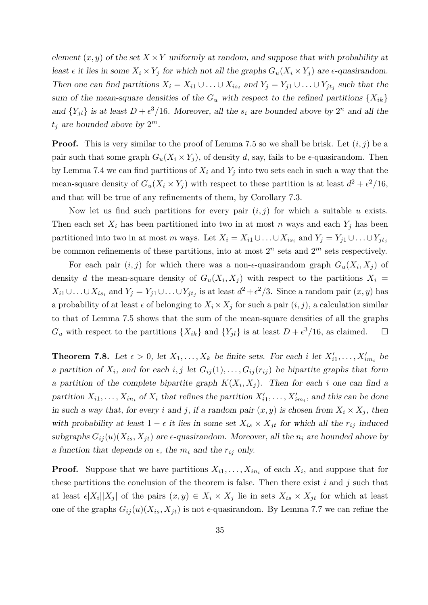element  $(x, y)$  of the set  $X \times Y$  uniformly at random, and suppose that with probability at least  $\epsilon$  it lies in some  $X_i \times Y_j$  for which not all the graphs  $G_u(X_i \times Y_j)$  are  $\epsilon$ -quasirandom. Then one can find partitions  $X_i = X_{i1} \cup ... \cup X_{is_i}$  and  $Y_j = Y_{j1} \cup ... \cup Y_{jt_j}$  such that the sum of the mean-square densities of the  $G_u$  with respect to the refined partitions  $\{X_{ik}\}$ and  $\{Y_{jl}\}\$ is at least  $D + \epsilon^3/16$ . Moreover, all the  $s_i$  are bounded above by  $2^n$  and all the  $t_j$  are bounded above by  $2^m$ .

**Proof.** This is very similar to the proof of Lemma 7.5 so we shall be brisk. Let  $(i, j)$  be a pair such that some graph  $G_u(X_i \times Y_i)$ , of density d, say, fails to be  $\epsilon$ -quasirandom. Then by Lemma 7.4 we can find partitions of  $X_i$  and  $Y_j$  into two sets each in such a way that the mean-square density of  $G_u(X_i \times Y_j)$  with respect to these partition is at least  $d^2 + \epsilon^2/16$ , and that will be true of any refinements of them, by Corollary 7.3.

Now let us find such partitions for every pair  $(i, j)$  for which a suitable u exists. Then each set  $X_i$  has been partitioned into two in at most n ways and each  $Y_i$  has been partitioned into two in at most m ways. Let  $X_i = X_{i1} \cup \ldots \cup X_{is_i}$  and  $Y_j = Y_{j1} \cup \ldots \cup Y_{jt_j}$ be common refinements of these partitions, into at most  $2^n$  sets and  $2^m$  sets respectively.

For each pair  $(i, j)$  for which there was a non- $\epsilon$ -quasirandom graph  $G_u(X_i, X_j)$  of density d the mean-square density of  $G_u(X_i, X_j)$  with respect to the partitions  $X_i =$  $X_{i1} \cup \ldots \cup X_{is_i}$  and  $Y_j = Y_{j1} \cup \ldots \cup Y_{jt_j}$  is at least  $d^2 + \epsilon^2/3$ . Since a random pair  $(x, y)$  has a probability of at least  $\epsilon$  of belonging to  $X_i \times X_j$  for such a pair  $(i, j)$ , a calculation similar to that of Lemma 7.5 shows that the sum of the mean-square densities of all the graphs  $G_u$  with respect to the partitions  $\{X_{ik}\}\$ and  $\{Y_{jl}\}\$ is at least  $D + \epsilon^3/16$ , as claimed.  $\square$ 

**Theorem 7.8.** Let  $\epsilon > 0$ , let  $X_1, \ldots, X_k$  be finite sets. For each i let  $X'_{i1}, \ldots, X'_{i m_i}$  be a partition of  $X_i$ , and for each i, j let  $G_{ij}(1), \ldots, G_{ij}(r_{ij})$  be bipartite graphs that form a partition of the complete bipartite graph  $K(X_i, X_j)$ . Then for each i one can find a partition  $X_{i1}, \ldots, X_{in_i}$  of  $X_i$  that refines the partition  $X'_{i1}, \ldots, X'_{im_i}$ , and this can be done in such a way that, for every i and j, if a random pair  $(x, y)$  is chosen from  $X_i \times X_j$ , then with probability at least  $1 - \epsilon$  it lies in some set  $X_{is} \times X_{jt}$  for which all the  $r_{ij}$  induced subgraphs  $G_{ij}(u)(X_{is}, X_{jt})$  are  $\epsilon$ -quasirandom. Moreover, all the  $n_i$  are bounded above by a function that depends on  $\epsilon$ , the  $m_i$  and the  $r_{ij}$  only.

**Proof.** Suppose that we have partitions  $X_{i1}, \ldots, X_{in_i}$  of each  $X_i$ , and suppose that for these partitions the conclusion of the theorem is false. Then there exist  $i$  and  $j$  such that at least  $\epsilon |X_i||X_j|$  of the pairs  $(x, y) \in X_i \times X_j$  lie in sets  $X_{is} \times X_{jt}$  for which at least one of the graphs  $G_{ij}(u)(X_{is}, X_{jt})$  is not  $\epsilon$ -quasirandom. By Lemma 7.7 we can refine the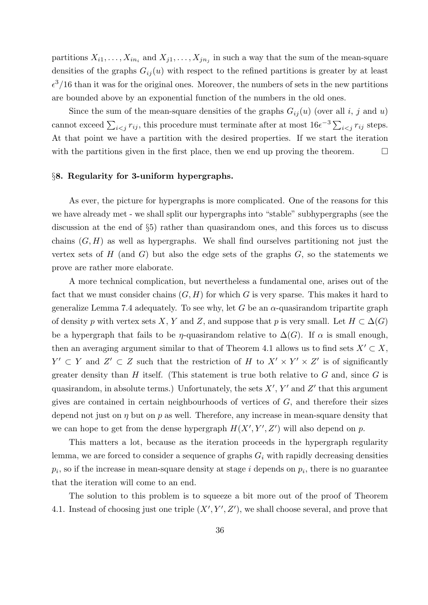partitions  $X_{i1}, \ldots, X_{in_i}$  and  $X_{j1}, \ldots, X_{jn_j}$  in such a way that the sum of the mean-square densities of the graphs  $G_{ij}(u)$  with respect to the refined partitions is greater by at least  $\epsilon^3/16$  than it was for the original ones. Moreover, the numbers of sets in the new partitions are bounded above by an exponential function of the numbers in the old ones.

Since the sum of the mean-square densities of the graphs  $G_{ij}(u)$  (over all i, j and u) cannot exceed  $\sum_{i < j} r_{ij}$ , this procedure must terminate after at most  $16e^{-3} \sum_{i < j} r_{ij}$  steps. At that point we have a partition with the desired properties. If we start the iteration with the partitions given in the first place, then we end up proving the theorem.  $\Box$ 

## §8. Regularity for 3-uniform hypergraphs.

As ever, the picture for hypergraphs is more complicated. One of the reasons for this we have already met - we shall split our hypergraphs into "stable" subhypergraphs (see the discussion at the end of §5) rather than quasirandom ones, and this forces us to discuss chains  $(G, H)$  as well as hypergraphs. We shall find ourselves partitioning not just the vertex sets of  $H$  (and  $G$ ) but also the edge sets of the graphs  $G$ , so the statements we prove are rather more elaborate.

A more technical complication, but nevertheless a fundamental one, arises out of the fact that we must consider chains  $(G, H)$  for which G is very sparse. This makes it hard to generalize Lemma 7.4 adequately. To see why, let G be an  $\alpha$ -quasirandom tripartite graph of density p with vertex sets X, Y and Z, and suppose that p is very small. Let  $H \subset \Delta(G)$ be a hypergraph that fails to be  $\eta$ -quasirandom relative to  $\Delta(G)$ . If  $\alpha$  is small enough, then an averaging argument similar to that of Theorem 4.1 allows us to find sets  $X' \subset X$ ,  $Y' \subset Y$  and  $Z' \subset Z$  such that the restriction of H to  $X' \times Y' \times Z'$  is of significantly greater density than  $H$  itself. (This statement is true both relative to  $G$  and, since  $G$  is quasirandom, in absolute terms.) Unfortunately, the sets  $X'$ ,  $Y'$  and  $Z'$  that this argument gives are contained in certain neighbourhoods of vertices of  $G$ , and therefore their sizes depend not just on  $\eta$  but on  $p$  as well. Therefore, any increase in mean-square density that we can hope to get from the dense hypergraph  $H(X', Y', Z')$  will also depend on p.

This matters a lot, because as the iteration proceeds in the hypergraph regularity lemma, we are forced to consider a sequence of graphs  $G_i$  with rapidly decreasing densities  $p_i$ , so if the increase in mean-square density at stage i depends on  $p_i$ , there is no guarantee that the iteration will come to an end.

The solution to this problem is to squeeze a bit more out of the proof of Theorem 4.1. Instead of choosing just one triple  $(X', Y', Z')$ , we shall choose several, and prove that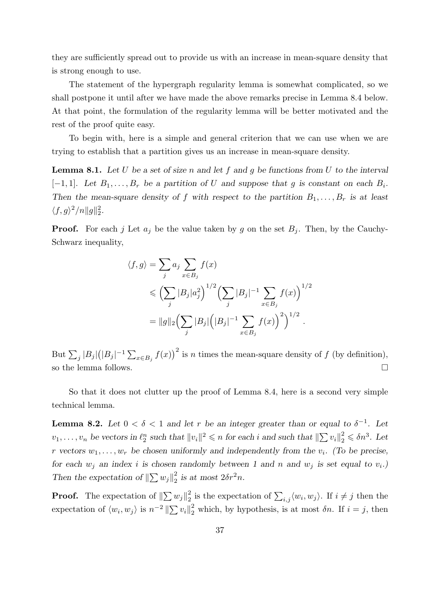they are sufficiently spread out to provide us with an increase in mean-square density that is strong enough to use.

The statement of the hypergraph regularity lemma is somewhat complicated, so we shall postpone it until after we have made the above remarks precise in Lemma 8.4 below. At that point, the formulation of the regularity lemma will be better motivated and the rest of the proof quite easy.

To begin with, here is a simple and general criterion that we can use when we are trying to establish that a partition gives us an increase in mean-square density.

**Lemma 8.1.** Let U be a set of size n and let f and q be functions from U to the interval  $[-1, 1]$ . Let  $B_1, \ldots, B_r$  be a partition of U and suppose that g is constant on each  $B_i$ . Then the mean-square density of f with respect to the partition  $B_1, \ldots, B_r$  is at least  $\langle f, g \rangle^2 / n \| g \|_2^2.$ 

**Proof.** For each j Let  $a_j$  be the value taken by g on the set  $B_j$ . Then, by the Cauchy-Schwarz inequality,

$$
\langle f, g \rangle = \sum_{j} a_{j} \sum_{x \in B_{j}} f(x)
$$
  
\$\leqslant \left( \sum\_{j} |B\_{j}| a\_{j}^{2} \right)^{1/2} \left( \sum\_{j} |B\_{j}|^{-1} \sum\_{x \in B\_{j}} f(x) \right)^{1/2}\$  

$$
= ||g||_{2} \left( \sum_{j} |B_{j}| \left( |B_{j}|^{-1} \sum_{x \in B_{j}} f(x) \right)^{2} \right)^{1/2}.
$$

But  $\sum_j |B_j| (|B_j|^{-1} \sum_{x \in B_j} f(x))^2$  is n times the mean-square density of f (by definition), so the lemma follows.

So that it does not clutter up the proof of Lemma 8.4, here is a second very simple technical lemma.

**Lemma 8.2.** Let  $0 < \delta < 1$  and let r be an integer greater than or equal to  $\delta^{-1}$ . Let  $v_1, \ldots, v_n$  be vectors in  $\ell_2^n$  such that  $||v_i||^2 \leqslant n$  for each i and such that  $||\sum v_i||_2^2 \leqslant \delta n^3$ . Let r vectors  $w_1, \ldots, w_r$  be chosen uniformly and independently from the  $v_i$ . (To be precise, for each  $w_j$  an index i is chosen randomly between 1 and n and  $w_j$  is set equal to  $v_i$ . Then the expectation of  $\left\Vert \sum w_j \right\Vert_2^2$  $\frac{2}{2}$  is at most  $2\delta r^2 n$ .

**Proof.** The expectation of  $\left\| \sum w_j \right\|_2^2$  $\frac{2}{2}$  is the expectation of  $\sum_{i,j} \langle w_i, w_j \rangle$ . If  $i \neq j$  then the expectation of  $\langle w_i, w_j \rangle$  is  $n^{-2} \|\sum v_i\|_2^2$  which, by hypothesis, is at most  $\delta n$ . If  $i = j$ , then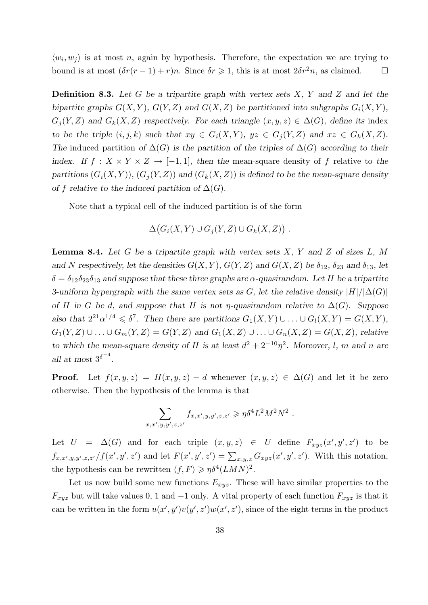$\langle w_i, w_j \rangle$  is at most n, again by hypothesis. Therefore, the expectation we are trying to bound is at most  $(\delta r(r-1) + r)n$ . Since  $\delta r \geq 1$ , this is at most  $2\delta r^2 n$ , as claimed.  $\square$ 

**Definition 8.3.** Let G be a tripartite graph with vertex sets  $X$ , Y and Z and let the bipartite graphs  $G(X, Y)$ ,  $G(Y, Z)$  and  $G(X, Z)$  be partitioned into subgraphs  $G_i(X, Y)$ ,  $G_i(Y, Z)$  and  $G_k(X, Z)$  respectively. For each triangle  $(x, y, z) \in \Delta(G)$ , define its index to be the triple  $(i, j, k)$  such that  $xy \in G_i(X, Y)$ ,  $yz \in G_i(Y, Z)$  and  $xz \in G_k(X, Z)$ . The induced partition of  $\Delta(G)$  is the partition of the triples of  $\Delta(G)$  according to their index. If  $f: X \times Y \times Z \rightarrow [-1,1]$ , then the mean-square density of f relative to the partitions  $(G_i(X, Y)), (G_j(Y, Z))$  and  $(G_k(X, Z))$  is defined to be the mean-square density of f relative to the induced partition of  $\Delta(G)$ .

Note that a typical cell of the induced partition is of the form

$$
\Delta(G_i(X,Y)\cup G_j(Y,Z)\cup G_k(X,Z))\ .
$$

**Lemma 8.4.** Let G be a tripartite graph with vertex sets  $X$ ,  $Y$  and  $Z$  of sizes  $L$ ,  $M$ and N respectively, let the densities  $G(X, Y)$ ,  $G(Y, Z)$  and  $G(X, Z)$  be  $\delta_{12}$ ,  $\delta_{23}$  and  $\delta_{13}$ , let  $\delta = \delta_{12} \delta_{23} \delta_{13}$  and suppose that these three graphs are  $\alpha$ -quasirandom. Let H be a tripartite 3-uniform hypergraph with the same vertex sets as G, let the relative density  $|H|/|\Delta(G)|$ of H in G be d, and suppose that H is not  $\eta$ -quasirandom relative to  $\Delta(G)$ . Suppose also that  $2^{21} \alpha^{1/4} \leq \delta^7$ . Then there are partitions  $G_1(X,Y) \cup \ldots \cup G_l(X,Y) = G(X,Y)$ ,  $G_1(Y, Z) \cup \ldots \cup G_m(Y, Z) = G(Y, Z)$  and  $G_1(X, Z) \cup \ldots \cup G_n(X, Z) = G(X, Z)$ , relative to which the mean-square density of H is at least  $d^2 + 2^{-10}\eta^2$ . Moreover, l, m and n are all at most  $3^{\delta^{-4}}$ .

**Proof.** Let  $f(x, y, z) = H(x, y, z) - d$  whenever  $(x, y, z) \in \Delta(G)$  and let it be zero otherwise. Then the hypothesis of the lemma is that

$$
\sum_{x,x',y,y',z,z'} f_{x,x',y,y',z,z'} \geq \eta \delta^4 L^2 M^2 N^2.
$$

Let  $U = \Delta(G)$  and for each triple  $(x, y, z) \in U$  define  $F_{xyz}(x', y', z')$  to be  $f_{x,x',y,y',z,z'}/f(x',y',z')$  and let  $F(x',y',z') = \sum_{x,y,z} G_{xyz}(x',y',z')$ . With this notation, the hypothesis can be rewritten  $\langle f, F \rangle \geq \eta \delta^4 (LMN)^2$ .

Let us now build some new functions  $E_{xyz}$ . These will have similar properties to the  $F_{xyz}$  but will take values 0, 1 and -1 only. A vital property of each function  $F_{xyz}$  is that it can be written in the form  $u(x', y')v(y', z')w(x', z')$ , since of the eight terms in the product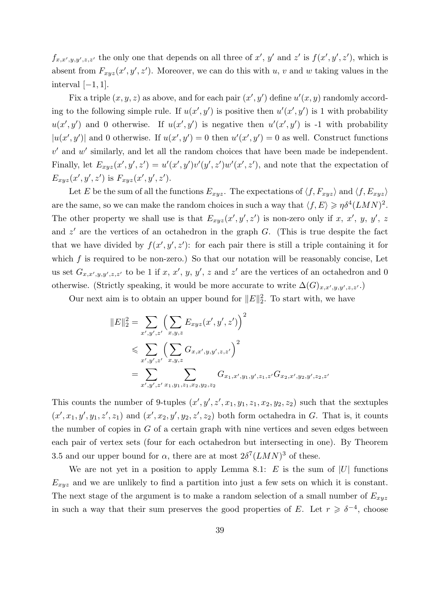$f_{x,x',y,y',z,z'}$  the only one that depends on all three of x', y' and z' is  $f(x',y',z')$ , which is absent from  $F_{xyz}(x', y', z')$ . Moreover, we can do this with u, v and w taking values in the interval  $[-1, 1]$ .

Fix a triple  $(x, y, z)$  as above, and for each pair  $(x', y')$  define  $u'(x, y)$  randomly according to the following simple rule. If  $u(x', y')$  is positive then  $u'(x', y')$  is 1 with probability  $u(x', y')$  and 0 otherwise. If  $u(x', y')$  is negative then  $u'(x', y')$  is -1 with probability  $|u(x', y')|$  and 0 otherwise. If  $u(x', y') = 0$  then  $u'(x', y') = 0$  as well. Construct functions  $v'$  and  $w'$  similarly, and let all the random choices that have been made be independent. Finally, let  $E_{xyz}(x', y', z') = u'(x', y')v'(y', z')w'(x', z')$ , and note that the expectation of  $E_{xyz}(x', y', z')$  is  $F_{xyz}(x', y', z')$ .

Let E be the sum of all the functions  $E_{xyz}$ . The expectations of  $\langle f, F_{xyz} \rangle$  and  $\langle f, E_{xyz} \rangle$ are the same, so we can make the random choices in such a way that  $\langle f, E \rangle \geq \eta \delta^4 (LMN)^2$ . The other property we shall use is that  $E_{xyz}(x', y', z')$  is non-zero only if x, x', y, y', z and  $z'$  are the vertices of an octahedron in the graph  $G$ . (This is true despite the fact that we have divided by  $f(x', y', z')$ : for each pair there is still a triple containing it for which  $f$  is required to be non-zero.) So that our notation will be reasonably concise, Let us set  $G_{x,x',y,y',z,z'}$  to be 1 if x, x', y, y', z and z' are the vertices of an octahedron and 0 otherwise. (Strictly speaking, it would be more accurate to write  $\Delta(G)_{x,x',y,y',z,z'}$ .)

Our next aim is to obtain an upper bound for  $||E||_2^2$ . To start with, we have

$$
||E||_2^2 = \sum_{x',y',z'} \left(\sum_{x,y,z} E_{xyz}(x',y',z')\right)^2
$$
  
\$\leqslant \sum\_{x',y',z'} \left(\sum\_{x,y,z} G\_{x,x',y,y',z,z'}\right)^2\$  
= 
$$
\sum_{x',y',z'} \sum_{x_1,y_1,z_1,x_2,y_2,z_2} G_{x_1,x',y_1,y',z_1,z'} G_{x_2,x',y_2,y',z_2,z'}
$$

This counts the number of 9-tuples  $(x', y', z', x_1, y_1, z_1, x_2, y_2, z_2)$  such that the sextuples  $(x', x_1, y', y_1, z', z_1)$  and  $(x', x_2, y', y_2, z', z_2)$  both form octahedra in G. That is, it counts the number of copies in G of a certain graph with nine vertices and seven edges between each pair of vertex sets (four for each octahedron but intersecting in one). By Theorem 3.5 and our upper bound for  $\alpha$ , there are at most  $2\delta^7 (LMN)^3$  of these.

We are not yet in a position to apply Lemma 8.1:  $E$  is the sum of |U| functions  $E_{xyz}$  and we are unlikely to find a partition into just a few sets on which it is constant. The next stage of the argument is to make a random selection of a small number of  $E_{xyz}$ in such a way that their sum preserves the good properties of E. Let  $r \geq \delta^{-4}$ , choose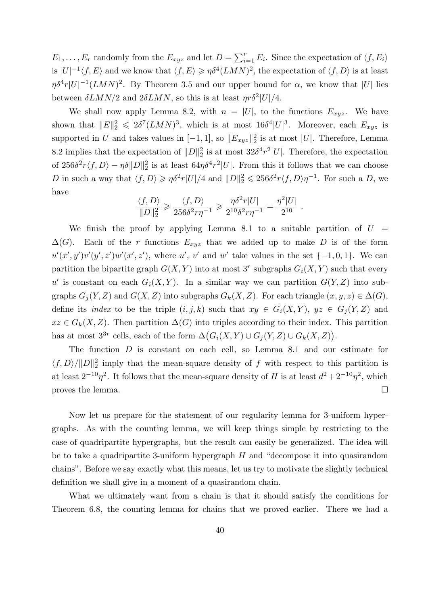$E_1, \ldots, E_r$  randomly from the  $E_{xyz}$  and let  $D = \sum_{i=1}^r E_i$ . Since the expectation of  $\langle f, E_i \rangle$ is  $|U|^{-1} \langle f, E \rangle$  and we know that  $\langle f, E \rangle \geq \eta \delta^4 (LMN)^2$ , the expectation of  $\langle f, D \rangle$  is at least  $\eta \delta^4 r |U|^{-1} (LMN)^2$ . By Theorem 3.5 and our upper bound for  $\alpha$ , we know that |U| lies between  $\delta LMN/2$  and  $2\delta LMN$ , so this is at least  $\eta r \delta^2 |U|/4$ .

We shall now apply Lemma 8.2, with  $n = |U|$ , to the functions  $E_{xyz}$ . We have shown that  $||E||_2^2 \leq 2\delta^7 (LMN)^3$ , which is at most  $16\delta^4 |U|^3$ . Moreover, each  $E_{xyz}$  is supported in U and takes values in  $[-1, 1]$ , so  $||E_{xyz}||_2^2$  is at most |U|. Therefore, Lemma 8.2 implies that the expectation of  $||D||_2^2$  is at most  $32\delta^4 r^2|U|$ . Therefore, the expectation of  $256\delta^2 r \langle f, D \rangle - \eta \delta ||D||_2^2$  is at least  $64\eta \delta^4 r^2 |U|$ . From this it follows that we can choose D in such a way that  $\langle f, D \rangle \geq \eta \delta^2 r |U|/4$  and  $||D||_2^2 \leq 256 \delta^2 r \langle f, D \rangle \eta^{-1}$ . For such a D, we have

$$
\frac{\langle f,D\rangle}{\|D\|_2^2}\geqslant \frac{\langle f,D\rangle}{256\delta^2r\eta^{-1}}\geqslant \frac{\eta\delta^2r|U|}{2^{10}\delta^2r\eta^{-1}}=\frac{\eta^2|U|}{2^{10}}\;.
$$

We finish the proof by applying Lemma 8.1 to a suitable partition of  $U =$  $\Delta(G)$ . Each of the r functions  $E_{xyz}$  that we added up to make D is of the form  $u'(x',y')v'(y',z')w'(x',z')$ , where u', v' and w' take values in the set  $\{-1,0,1\}$ . We can partition the bipartite graph  $G(X, Y)$  into at most 3<sup>r</sup> subgraphs  $G_i(X, Y)$  such that every u' is constant on each  $G_i(X, Y)$ . In a similar way we can partition  $G(Y, Z)$  into subgraphs  $G_i(Y, Z)$  and  $G(X, Z)$  into subgraphs  $G_k(X, Z)$ . For each triangle  $(x, y, z) \in \Delta(G)$ , define its *index* to be the triple  $(i, j, k)$  such that  $xy \in G_i(X, Y)$ ,  $yz \in G_j(Y, Z)$  and  $xz \in G_k(X, Z)$ . Then partition  $\Delta(G)$  into triples according to their index. This partition has at most  $3^{3r}$  cells, each of the form  $\Delta(G_i(X, Y) \cup G_j(Y, Z) \cup G_k(X, Z)).$ 

The function D is constant on each cell, so Lemma 8.1 and our estimate for  $\langle f, D \rangle / ||D||_2^2$  imply that the mean-square density of f with respect to this partition is at least  $2^{-10}\eta^2$ . It follows that the mean-square density of H is at least  $d^2 + 2^{-10}\eta^2$ , which proves the lemma.  $\Box$ 

Now let us prepare for the statement of our regularity lemma for 3-uniform hypergraphs. As with the counting lemma, we will keep things simple by restricting to the case of quadripartite hypergraphs, but the result can easily be generalized. The idea will be to take a quadripartite 3-uniform hypergraph  $H$  and "decompose it into quasirandom chains". Before we say exactly what this means, let us try to motivate the slightly technical definition we shall give in a moment of a quasirandom chain.

What we ultimately want from a chain is that it should satisfy the conditions for Theorem 6.8, the counting lemma for chains that we proved earlier. There we had a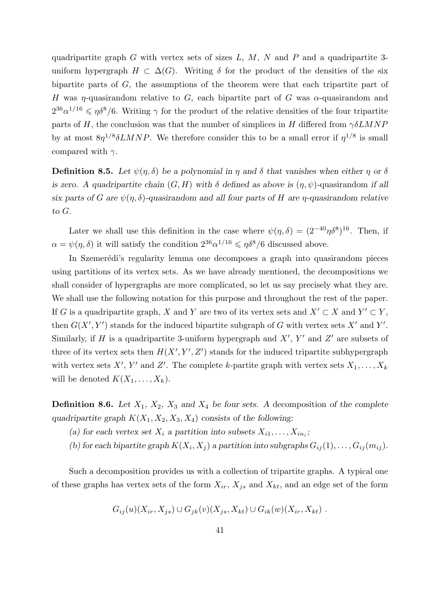quadripartite graph G with vertex sets of sizes  $L, M, N$  and P and a quadripartite 3uniform hypergraph  $H \subset \Delta(G)$ . Writing  $\delta$  for the product of the densities of the six bipartite parts of G, the assumptions of the theorem were that each tripartite part of H was  $\eta$ -quasirandom relative to G, each bipartite part of G was  $\alpha$ -quasirandom and  $2^{36} \alpha^{1/16} \leqslant \eta \delta^8/6$ . Writing  $\gamma$  for the product of the relative densities of the four tripartite parts of H, the conclusion was that the number of simplices in H differed from  $\gamma \delta LMNP$ by at most  $8\eta^{1/8}\delta LMNP$ . We therefore consider this to be a small error if  $\eta^{1/8}$  is small compared with  $\gamma$ .

**Definition 8.5.** Let  $\psi(\eta, \delta)$  be a polynomial in  $\eta$  and  $\delta$  that vanishes when either  $\eta$  or  $\delta$ is zero. A quadripartite chain  $(G, H)$  with  $\delta$  defined as above is  $(\eta, \psi)$ -quasirandom if all six parts of G are  $\psi(\eta, \delta)$ -quasirandom and all four parts of H are  $\eta$ -quasirandom relative to G.

Later we shall use this definition in the case where  $\psi(\eta, \delta) = (2^{-40} \eta \delta^8)^{16}$ . Then, if  $\alpha = \psi(\eta, \delta)$  it will satisfy the condition  $2^{36} \alpha^{1/16} \leq \eta \delta^8/6$  discussed above.

In Szemerédi's regularity lemma one decomposes a graph into quasirandom pieces using partitions of its vertex sets. As we have already mentioned, the decompositions we shall consider of hypergraphs are more complicated, so let us say precisely what they are. We shall use the following notation for this purpose and throughout the rest of the paper. If G is a quadripartite graph, X and Y are two of its vertex sets and  $X' \subset X$  and  $Y' \subset Y$ , then  $G(X', Y')$  stands for the induced bipartite subgraph of G with vertex sets  $X'$  and  $Y'$ . Similarly, if H is a quadripartite 3-uniform hypergraph and  $X'$ , Y' and Z' are subsets of three of its vertex sets then  $H(X', Y', Z')$  stands for the induced tripartite subhypergraph with vertex sets X', Y' and Z'. The complete k-partite graph with vertex sets  $X_1, \ldots, X_k$ will be denoted  $K(X_1, \ldots, X_k)$ .

**Definition 8.6.** Let  $X_1$ ,  $X_2$ ,  $X_3$  and  $X_4$  be four sets. A decomposition of the complete quadripartite graph  $K(X_1, X_2, X_3, X_4)$  consists of the following:

- (a) for each vertex set  $X_i$  a partition into subsets  $X_{i1}, \ldots, X_{in_i}$ ;
- (b) for each bipartite graph  $K(X_i, X_j)$  a partition into subgraphs  $G_{ij}(1), \ldots, G_{ij}(m_{ij}).$

Such a decomposition provides us with a collection of tripartite graphs. A typical one of these graphs has vertex sets of the form  $X_{ir}$ ,  $X_{js}$  and  $X_{kt}$ , and an edge set of the form

$$
G_{ij}(u)(X_{ir}, X_{js}) \cup G_{jk}(v)(X_{js}, X_{kt}) \cup G_{ik}(w)(X_{ir}, X_{kt}).
$$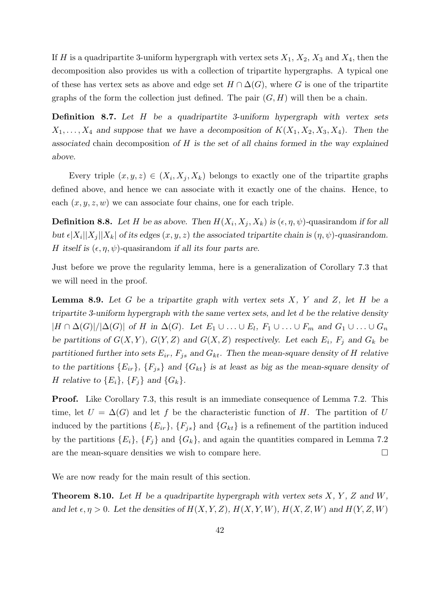If H is a quadripartite 3-uniform hypergraph with vertex sets  $X_1, X_2, X_3$  and  $X_4$ , then the decomposition also provides us with a collection of tripartite hypergraphs. A typical one of these has vertex sets as above and edge set  $H \cap \Delta(G)$ , where G is one of the tripartite graphs of the form the collection just defined. The pair  $(G, H)$  will then be a chain.

Definition 8.7. Let H be a quadripartite 3-uniform hypergraph with vertex sets  $X_1, \ldots, X_4$  and suppose that we have a decomposition of  $K(X_1, X_2, X_3, X_4)$ . Then the associated chain decomposition of H is the set of all chains formed in the way explained above.

Every triple  $(x, y, z) \in (X_i, X_j, X_k)$  belongs to exactly one of the tripartite graphs defined above, and hence we can associate with it exactly one of the chains. Hence, to each  $(x, y, z, w)$  we can associate four chains, one for each triple.

**Definition 8.8.** Let H be as above. Then  $H(X_i, X_j, X_k)$  is  $(\epsilon, \eta, \psi)$ -quasirandom if for all but  $\epsilon |X_i||X_j||X_k$  of its edges  $(x, y, z)$  the associated tripartite chain is  $(\eta, \psi)$ -quasirandom. H itself is  $(\epsilon, \eta, \psi)$ -quasirandom if all its four parts are.

Just before we prove the regularity lemma, here is a generalization of Corollary 7.3 that we will need in the proof.

**Lemma 8.9.** Let G be a tripartite graph with vertex sets  $X$ ,  $Y$  and  $Z$ , let H be a tripartite 3-uniform hypergraph with the same vertex sets, and let d be the relative density  $|H \cap \Delta(G)|/|\Delta(G)|$  of H in  $\Delta(G)$ . Let  $E_1 \cup \ldots \cup E_l$ ,  $F_1 \cup \ldots \cup F_m$  and  $G_1 \cup \ldots \cup G_n$ be partitions of  $G(X, Y)$ ,  $G(Y, Z)$  and  $G(X, Z)$  respectively. Let each  $E_i$ ,  $F_j$  and  $G_k$  be partitioned further into sets  $E_{ir}$ ,  $F_{js}$  and  $G_{kt}$ . Then the mean-square density of H relative to the partitions  ${E_{ir}}$ ,  ${F_{js}}$  and  ${G_{kt}}$  is at least as big as the mean-square density of H relative to  $\{E_i\}$ ,  $\{F_j\}$  and  $\{G_k\}$ .

**Proof.** Like Corollary 7.3, this result is an immediate consequence of Lemma 7.2. This time, let  $U = \Delta(G)$  and let f be the characteristic function of H. The partition of U induced by the partitions  ${E_{ir}}$ ,  ${F_{js}}$  and  ${G_{kt}}$  is a refinement of the partition induced by the partitions  ${E_i}$ ,  ${F_j}$  and  ${G_k}$ , and again the quantities compared in Lemma 7.2 are the mean-square densities we wish to compare here.  $\Box$ 

We are now ready for the main result of this section.

**Theorem 8.10.** Let H be a quadripartite hypergraph with vertex sets  $X, Y, Z$  and  $W$ , and let  $\epsilon, \eta > 0$ . Let the densities of  $H(X, Y, Z)$ ,  $H(X, Y, W)$ ,  $H(X, Z, W)$  and  $H(Y, Z, W)$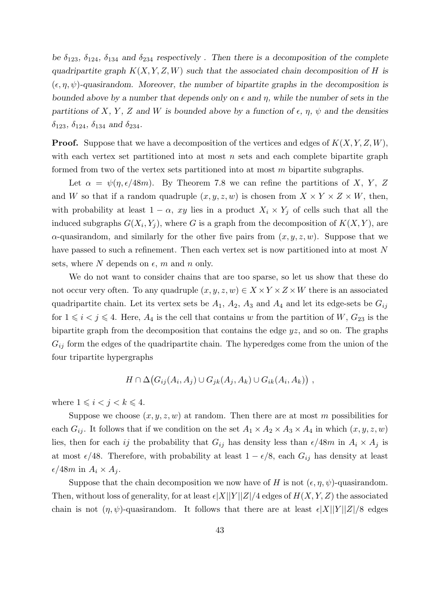be  $\delta_{123}$ ,  $\delta_{124}$ ,  $\delta_{134}$  and  $\delta_{234}$  respectively. Then there is a decomposition of the complete quadripartite graph  $K(X, Y, Z, W)$  such that the associated chain decomposition of H is  $(\epsilon, \eta, \psi)$ -quasirandom. Moreover, the number of bipartite graphs in the decomposition is bounded above by a number that depends only on  $\epsilon$  and  $\eta$ , while the number of sets in the partitions of X, Y, Z and W is bounded above by a function of  $\epsilon$ ,  $\eta$ ,  $\psi$  and the densities  $\delta_{123}, \, \delta_{124}, \, \delta_{134} \,$  and  $\delta_{234}.$ 

**Proof.** Suppose that we have a decomposition of the vertices and edges of  $K(X, Y, Z, W)$ , with each vertex set partitioned into at most  $n$  sets and each complete bipartite graph formed from two of the vertex sets partitioned into at most m bipartite subgraphs.

Let  $\alpha = \psi(\eta, \epsilon/48m)$ . By Theorem 7.8 we can refine the partitions of X, Y, Z and W so that if a random quadruple  $(x, y, z, w)$  is chosen from  $X \times Y \times Z \times W$ , then, with probability at least  $1 - \alpha$ , xy lies in a product  $X_i \times Y_j$  of cells such that all the induced subgraphs  $G(X_i, Y_j)$ , where G is a graph from the decomposition of  $K(X, Y)$ , are  $\alpha$ -quasirandom, and similarly for the other five pairs from  $(x, y, z, w)$ . Suppose that we have passed to such a refinement. Then each vertex set is now partitioned into at most N sets, where N depends on  $\epsilon$ , m and n only.

We do not want to consider chains that are too sparse, so let us show that these do not occur very often. To any quadruple  $(x, y, z, w) \in X \times Y \times Z \times W$  there is an associated quadripartite chain. Let its vertex sets be  $A_1$ ,  $A_2$ ,  $A_3$  and  $A_4$  and let its edge-sets be  $G_{ij}$ for  $1 \leq i \leq j \leq 4$ . Here,  $A_4$  is the cell that contains w from the partition of W,  $G_{23}$  is the bipartite graph from the decomposition that contains the edge yz, and so on. The graphs  $G_{ij}$  form the edges of the quadripartite chain. The hyperedges come from the union of the four tripartite hypergraphs

$$
H \cap \Delta(G_{ij}(A_i, A_j) \cup G_{jk}(A_j, A_k) \cup G_{ik}(A_i, A_k)),
$$

where  $1 \leq i < j < k \leq 4$ .

Suppose we choose  $(x, y, z, w)$  at random. Then there are at most m possibilities for each  $G_{ij}$ . It follows that if we condition on the set  $A_1 \times A_2 \times A_3 \times A_4$  in which  $(x, y, z, w)$ lies, then for each ij the probability that  $G_{ij}$  has density less than  $\epsilon/48m$  in  $A_i \times A_j$  is at most  $\epsilon/48$ . Therefore, with probability at least  $1 - \epsilon/8$ , each  $G_{ij}$  has density at least  $\epsilon/48m$  in  $A_i \times A_j$ .

Suppose that the chain decomposition we now have of H is not  $(\epsilon, \eta, \psi)$ -quasirandom. Then, without loss of generality, for at least  $\epsilon |X||Y||Z|/4$  edges of  $H(X, Y, Z)$  the associated chain is not  $(\eta, \psi)$ -quasirandom. It follows that there are at least  $\epsilon |X||Y||Z|/8$  edges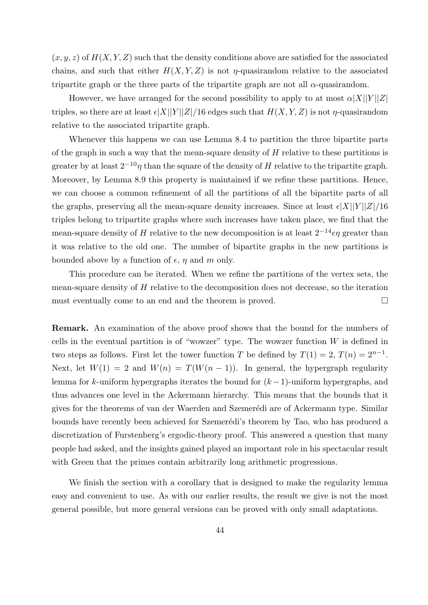$(x, y, z)$  of  $H(X, Y, Z)$  such that the density conditions above are satisfied for the associated chains, and such that either  $H(X, Y, Z)$  is not  $\eta$ -quasirandom relative to the associated tripartite graph or the three parts of the tripartite graph are not all  $\alpha$ -quasirandom.

However, we have arranged for the second possibility to apply to at most  $\alpha |X||Y||Z|$ triples, so there are at least  $\epsilon |X||Y||Z|/16$  edges such that  $H(X, Y, Z)$  is not  $\eta$ -quasirandom relative to the associated tripartite graph.

Whenever this happens we can use Lemma 8.4 to partition the three bipartite parts of the graph in such a way that the mean-square density of  $H$  relative to these partitions is greater by at least  $2^{-10}\eta$  than the square of the density of H relative to the tripartite graph. Moreover, by Lemma 8.9 this property is maintained if we refine these partitions. Hence, we can choose a common refinement of all the partitions of all the bipartite parts of all the graphs, preserving all the mean-square density increases. Since at least  $\epsilon |X||Y||Z|/16$ triples belong to tripartite graphs where such increases have taken place, we find that the mean-square density of H relative to the new decomposition is at least  $2^{-14} \epsilon \eta$  greater than it was relative to the old one. The number of bipartite graphs in the new partitions is bounded above by a function of  $\epsilon$ ,  $\eta$  and m only.

This procedure can be iterated. When we refine the partitions of the vertex sets, the mean-square density of  $H$  relative to the decomposition does not decrease, so the iteration must eventually come to an end and the theorem is proved.

Remark. An examination of the above proof shows that the bound for the numbers of cells in the eventual partition is of "wowzer" type. The wowzer function  $W$  is defined in two steps as follows. First let the tower function T be defined by  $T(1) = 2, T(n) = 2^{n-1}$ . Next, let  $W(1) = 2$  and  $W(n) = T(W(n-1))$ . In general, the hypergraph regularity lemma for k-uniform hypergraphs iterates the bound for  $(k-1)$ -uniform hypergraphs, and thus advances one level in the Ackermann hierarchy. This means that the bounds that it gives for the theorems of van der Waerden and Szemerédi are of Ackermann type. Similar bounds have recently been achieved for Szemerédi's theorem by Tao, who has produced a discretization of Furstenberg's ergodic-theory proof. This answered a question that many people had asked, and the insights gained played an important role in his spectacular result with Green that the primes contain arbitrarily long arithmetic progressions.

We finish the section with a corollary that is designed to make the regularity lemma easy and convenient to use. As with our earlier results, the result we give is not the most general possible, but more general versions can be proved with only small adaptations.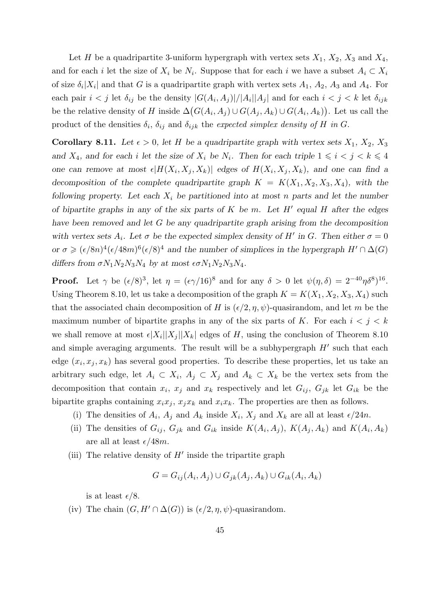Let H be a quadripartite 3-uniform hypergraph with vertex sets  $X_1, X_2, X_3$  and  $X_4$ , and for each i let the size of  $X_i$  be  $N_i$ . Suppose that for each i we have a subset  $A_i \subset X_i$ of size  $\delta_i |X_i|$  and that G is a quadripartite graph with vertex sets  $A_1, A_2, A_3$  and  $A_4$ . For each pair  $i < j$  let  $\delta_{ij}$  be the density  $|G(A_i, A_j)|/|A_i||A_j|$  and for each  $i < j < k$  let  $\delta_{ijk}$ be the relative density of H inside  $\Delta(G(A_i, A_j) \cup G(A_j, A_k) \cup G(A_i, A_k))$ . Let us call the product of the densities  $\delta_i$ ,  $\delta_{ij}$  and  $\delta_{ijk}$  the expected simplex density of H in G.

**Corollary 8.11.** Let  $\epsilon > 0$ , let H be a quadripartite graph with vertex sets  $X_1, X_2, X_3$ and  $X_4$ , and for each i let the size of  $X_i$  be  $N_i$ . Then for each triple  $1 \leq i \leq j \leq k \leq 4$ one can remove at most  $\epsilon |H(X_i, X_j, X_k)|$  edges of  $H(X_i, X_j, X_k)$ , and one can find a decomposition of the complete quadripartite graph  $K = K(X_1, X_2, X_3, X_4)$ , with the following property. Let each  $X_i$  be partitioned into at most n parts and let the number of bipartite graphs in any of the six parts of  $K$  be m. Let  $H'$  equal  $H$  after the edges have been removed and let G be any quadripartite graph arising from the decomposition with vertex sets  $A_i$ . Let  $\sigma$  be the expected simplex density of H' in G. Then either  $\sigma = 0$ or  $\sigma \geq (\epsilon/8n)^4(\epsilon/48m)^6(\epsilon/8)^4$  and the number of simplices in the hypergraph  $H' \cap \Delta(G)$ differs from  $\sigma N_1N_2N_3N_4$  by at most  $\epsilon \sigma N_1N_2N_3N_4$ .

**Proof.** Let  $\gamma$  be  $(\epsilon/8)^3$ , let  $\eta = (\epsilon \gamma/16)^8$  and for any  $\delta > 0$  let  $\psi(\eta, \delta) = 2^{-40} \eta \delta^8$ <sup>16</sup>. Using Theorem 8.10, let us take a decomposition of the graph  $K = K(X_1, X_2, X_3, X_4)$  such that the associated chain decomposition of H is  $(\epsilon/2, \eta, \psi)$ -quasirandom, and let m be the maximum number of bipartite graphs in any of the six parts of K. For each  $i < j < k$ we shall remove at most  $\epsilon |X_i||X_j||X_k|$  edges of H, using the conclusion of Theorem 8.10 and simple averaging arguments. The result will be a subhypergraph  $H'$  such that each edge  $(x_i, x_j, x_k)$  has several good properties. To describe these properties, let us take an arbitrary such edge, let  $A_i \subset X_i$ ,  $A_j \subset X_j$  and  $A_k \subset X_k$  be the vertex sets from the decomposition that contain  $x_i$ ,  $x_j$  and  $x_k$  respectively and let  $G_{ij}$ ,  $G_{jk}$  let  $G_{ik}$  be the bipartite graphs containing  $x_ix_j$ ,  $x_ix_k$  and  $x_ix_k$ . The properties are then as follows.

- (i) The densities of  $A_i$ ,  $A_j$  and  $A_k$  inside  $X_i$ ,  $X_j$  and  $X_k$  are all at least  $\epsilon/24n$ .
- (ii) The densities of  $G_{ij}$ ,  $G_{jk}$  and  $G_{ik}$  inside  $K(A_i, A_j)$ ,  $K(A_j, A_k)$  and  $K(A_i, A_k)$ are all at least  $\epsilon/48m$ .
- (iii) The relative density of  $H'$  inside the tripartite graph

$$
G = G_{ij}(A_i, A_j) \cup G_{jk}(A_j, A_k) \cup G_{ik}(A_i, A_k)
$$

is at least  $\epsilon/8$ .

(iv) The chain  $(G, H' \cap \Delta(G))$  is  $(\epsilon/2, \eta, \psi)$ -quasirandom.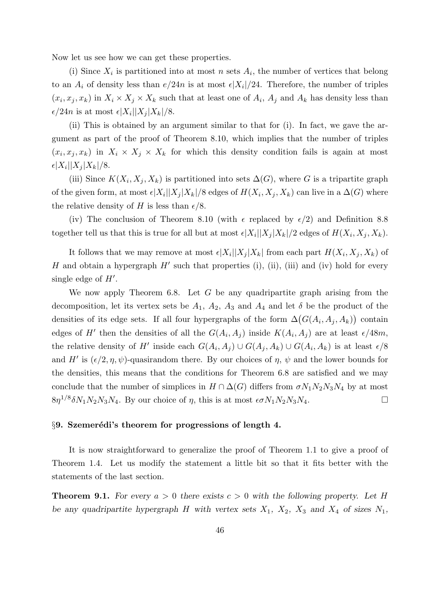Now let us see how we can get these properties.

(i) Since  $X_i$  is partitioned into at most n sets  $A_i$ , the number of vertices that belong to an  $A_i$  of density less than  $e/24n$  is at most  $\epsilon |X_i|/24$ . Therefore, the number of triples  $(x_i, x_j, x_k)$  in  $X_i \times X_j \times X_k$  such that at least one of  $A_i$ ,  $A_j$  and  $A_k$  has density less than  $\epsilon/24n$  is at most  $\epsilon|X_i||X_j|X_k|/8$ .

(ii) This is obtained by an argument similar to that for (i). In fact, we gave the argument as part of the proof of Theorem 8.10, which implies that the number of triples  $(x_i, x_j, x_k)$  in  $X_i \times X_j \times X_k$  for which this density condition fails is again at most  $\epsilon |X_i| |X_j| X_k|/8.$ 

(iii) Since  $K(X_i, X_j, X_k)$  is partitioned into sets  $\Delta(G)$ , where G is a tripartite graph of the given form, at most  $\epsilon |X_i||X_j|X_k|/8$  edges of  $H(X_i, X_j, X_k)$  can live in a  $\Delta(G)$  where the relative density of H is less than  $\epsilon/8$ .

(iv) The conclusion of Theorem 8.10 (with  $\epsilon$  replaced by  $\epsilon/2$ ) and Definition 8.8 together tell us that this is true for all but at most  $\epsilon |X_i||X_j|X_k|/2$  edges of  $H(X_i, X_j, X_k)$ .

It follows that we may remove at most  $\epsilon |X_i||X_j|X_k$  from each part  $H(X_i, X_j, X_k)$  of H and obtain a hypergraph  $H'$  such that properties (i), (ii), (iii) and (iv) hold for every single edge of  $H'$ .

We now apply Theorem 6.8. Let  $G$  be any quadripartite graph arising from the decomposition, let its vertex sets be  $A_1$ ,  $A_2$ ,  $A_3$  and  $A_4$  and let  $\delta$  be the product of the densities of its edge sets. If all four hypergraphs of the form  $\Delta(G(A_i, A_j, A_k))$  contain edges of H' then the densities of all the  $G(A_i, A_j)$  inside  $K(A_i, A_j)$  are at least  $\epsilon/48m$ , the relative density of H' inside each  $G(A_i, A_j) \cup G(A_j, A_k) \cup G(A_i, A_k)$  is at least  $\epsilon/8$ and H' is  $(\epsilon/2, \eta, \psi)$ -quasirandom there. By our choices of  $\eta$ ,  $\psi$  and the lower bounds for the densities, this means that the conditions for Theorem 6.8 are satisfied and we may conclude that the number of simplices in  $H \cap \Delta(G)$  differs from  $\sigma N_1N_2N_3N_4$  by at most  $8\eta^{1/8}\delta N_1N_2N_3N_4$ . By our choice of  $\eta$ , this is at most  $\epsilon \sigma N_1N_2N_3N_4$ .

#### $\S 9.$  Szemerédi's theorem for progressions of length 4.

It is now straightforward to generalize the proof of Theorem 1.1 to give a proof of Theorem 1.4. Let us modify the statement a little bit so that it fits better with the statements of the last section.

**Theorem 9.1.** For every  $a > 0$  there exists  $c > 0$  with the following property. Let H be any quadripartite hypergraph H with vertex sets  $X_1$ ,  $X_2$ ,  $X_3$  and  $X_4$  of sizes  $N_1$ ,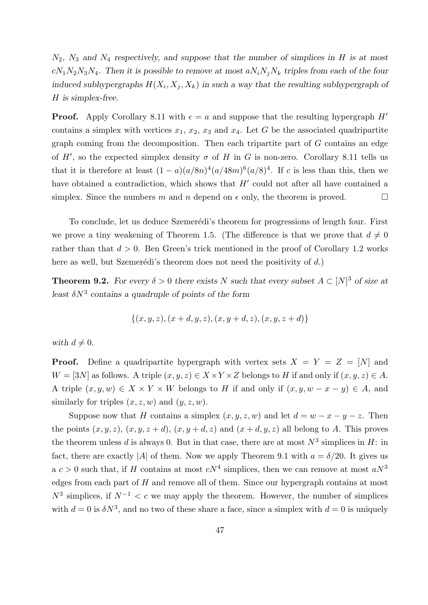$N_2$ ,  $N_3$  and  $N_4$  respectively, and suppose that the number of simplices in H is at most  $cN_1N_2N_3N_4$ . Then it is possible to remove at most  $aN_iN_jN_k$  triples from each of the four induced subhypergraphs  $H(X_i, X_j, X_k)$  in such a way that the resulting subhypergraph of H is simplex-free.

**Proof.** Apply Corollary 8.11 with  $\epsilon = a$  and suppose that the resulting hypergraph H' contains a simplex with vertices  $x_1, x_2, x_3$  and  $x_4$ . Let G be the associated quadripartite graph coming from the decomposition. Then each tripartite part of  $G$  contains an edge of H', so the expected simplex density  $\sigma$  of H in G is non-zero. Corollary 8.11 tells us that it is therefore at least  $(1-a)(a/8n)^4(a/48m)^6(a/8)^4$ . If c is less than this, then we have obtained a contradiction, which shows that  $H'$  could not after all have contained a simplex. Since the numbers m and n depend on  $\epsilon$  only, the theorem is proved.

To conclude, let us deduce Szemerédi's theorem for progressions of length four. First we prove a tiny weakening of Theorem 1.5. (The difference is that we prove that  $d \neq 0$ rather than that  $d > 0$ . Ben Green's trick mentioned in the proof of Corollary 1.2 works here as well, but Szemerédi's theorem does not need the positivity of  $d$ .)

**Theorem 9.2.** For every  $\delta > 0$  there exists N such that every subset  $A \subset [N]^3$  of size at least  $\delta N^3$  contains a quadruple of points of the form

$$
\{(x, y, z), (x+d, y, z), (x, y+d, z), (x, y, z+d)\}
$$

with  $d \neq 0$ .

**Proof.** Define a quadripartite hypergraph with vertex sets  $X = Y = Z = [N]$  and  $W = [3N]$  as follows. A triple  $(x, y, z) \in X \times Y \times Z$  belongs to H if and only if  $(x, y, z) \in A$ . A triple  $(x, y, w) \in X \times Y \times W$  belongs to H if and only if  $(x, y, w - x - y) \in A$ , and similarly for triples  $(x, z, w)$  and  $(y, z, w)$ .

Suppose now that H contains a simplex  $(x, y, z, w)$  and let  $d = w - x - y - z$ . Then the points  $(x, y, z)$ ,  $(x, y, z + d)$ ,  $(x, y + d, z)$  and  $(x + d, y, z)$  all belong to A. This proves the theorem unless d is always 0. But in that case, there are at most  $N^3$  simplices in H: in fact, there are exactly |A| of them. Now we apply Theorem 9.1 with  $a = \delta/20$ . It gives us a  $c > 0$  such that, if H contains at most  $cN^4$  simplices, then we can remove at most  $aN^3$ edges from each part of  $H$  and remove all of them. Since our hypergraph contains at most  $N^3$  simplices, if  $N^{-1} < c$  we may apply the theorem. However, the number of simplices with  $d = 0$  is  $\delta N^3$ , and no two of these share a face, since a simplex with  $d = 0$  is uniquely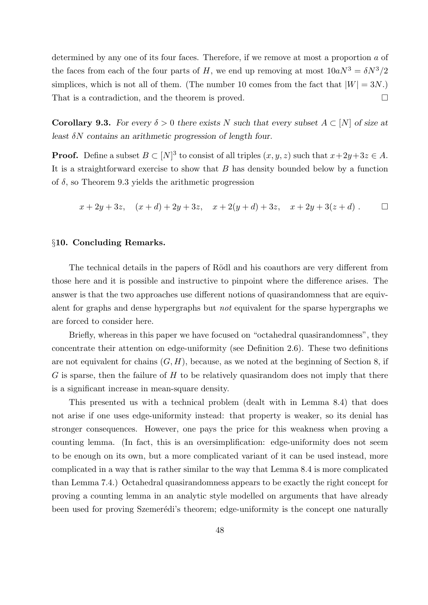determined by any one of its four faces. Therefore, if we remove at most a proportion a of the faces from each of the four parts of H, we end up removing at most  $10aN^3 = \delta N^3/2$ simplices, which is not all of them. (The number 10 comes from the fact that  $|W| = 3N$ .) That is a contradiction, and the theorem is proved.

**Corollary 9.3.** For every  $\delta > 0$  there exists N such that every subset  $A \subset [N]$  of size at least  $\delta N$  contains an arithmetic progression of length four.

**Proof.** Define a subset  $B \subset [N]^3$  to consist of all triples  $(x, y, z)$  such that  $x+2y+3z \in A$ . It is a straightforward exercise to show that  $B$  has density bounded below by a function of  $\delta$ , so Theorem 9.3 yields the arithmetic progression

$$
x + 2y + 3z
$$
,  $(x + d) + 2y + 3z$ ,  $x + 2(y + d) + 3z$ ,  $x + 2y + 3(z + d)$ .

## §10. Concluding Remarks.

The technical details in the papers of Rödl and his coauthors are very different from those here and it is possible and instructive to pinpoint where the difference arises. The answer is that the two approaches use different notions of quasirandomness that are equivalent for graphs and dense hypergraphs but not equivalent for the sparse hypergraphs we are forced to consider here.

Briefly, whereas in this paper we have focused on "octahedral quasirandomness", they concentrate their attention on edge-uniformity (see Definition 2.6). These two definitions are not equivalent for chains  $(G, H)$ , because, as we noted at the beginning of Section 8, if  $G$  is sparse, then the failure of  $H$  to be relatively quasirandom does not imply that there is a significant increase in mean-square density.

This presented us with a technical problem (dealt with in Lemma 8.4) that does not arise if one uses edge-uniformity instead: that property is weaker, so its denial has stronger consequences. However, one pays the price for this weakness when proving a counting lemma. (In fact, this is an oversimplification: edge-uniformity does not seem to be enough on its own, but a more complicated variant of it can be used instead, more complicated in a way that is rather similar to the way that Lemma 8.4 is more complicated than Lemma 7.4.) Octahedral quasirandomness appears to be exactly the right concept for proving a counting lemma in an analytic style modelled on arguments that have already been used for proving Szemerédi's theorem; edge-uniformity is the concept one naturally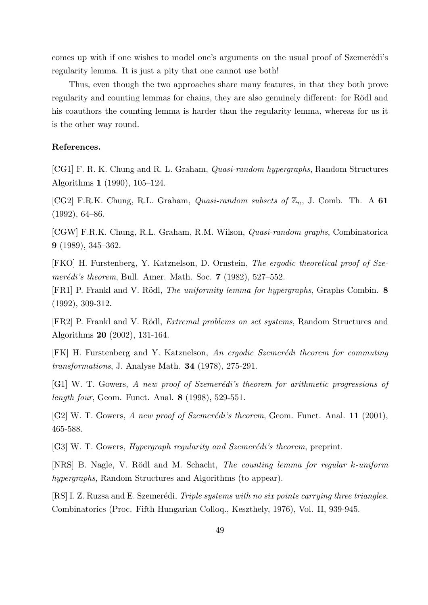comes up with if one wishes to model one's arguments on the usual proof of Szemerédi's regularity lemma. It is just a pity that one cannot use both!

Thus, even though the two approaches share many features, in that they both prove regularity and counting lemmas for chains, they are also genuinely different: for Rödl and his coauthors the counting lemma is harder than the regularity lemma, whereas for us it is the other way round.

## References.

[CG1] F. R. K. Chung and R. L. Graham, Quasi-random hypergraphs, Random Structures Algorithms 1 (1990), 105–124.

[CG2] F.R.K. Chung, R.L. Graham, *Quasi-random subsets of*  $\mathbb{Z}_n$ , J. Comb. Th. A 61  $(1992), 64–86.$ 

[CGW] F.R.K. Chung, R.L. Graham, R.M. Wilson, Quasi-random graphs, Combinatorica 9 (1989), 345–362.

[FKO] H. Furstenberg, Y. Katznelson, D. Ornstein, The ergodic theoretical proof of Szemerédi's theorem, Bull. Amer. Math. Soc.  $7$  (1982), 527–552.

[FR1] P. Frankl and V. Rödl, *The uniformity lemma for hypergraphs*, Graphs Combin. 8 (1992), 309-312.

[FR2] P. Frankl and V. Rödl, *Extremal problems on set systems*, Random Structures and Algorithms 20 (2002), 131-164.

[FK] H. Furstenberg and Y. Katznelson, An ergodic Szemerédi theorem for commuting transformations, J. Analyse Math. 34 (1978), 275-291.

[G1] W. T. Gowers, A new proof of Szemerédi's theorem for arithmetic progressions of length four, Geom. Funct. Anal. 8 (1998), 529-551.

[G2] W. T. Gowers, A new proof of Szemerédi's theorem, Geom. Funct. Anal. 11 (2001), 465-588.

[G3] W. T. Gowers, *Hypergraph regularity and Szemerédi's theorem*, preprint.

[NRS] B. Nagle, V. Rödl and M. Schacht, *The counting lemma for regular k-uniform* hypergraphs, Random Structures and Algorithms (to appear).

[RS] I. Z. Ruzsa and E. Szemerédi, *Triple systems with no six points carrying three triangles*, Combinatorics (Proc. Fifth Hungarian Colloq., Keszthely, 1976), Vol. II, 939-945.